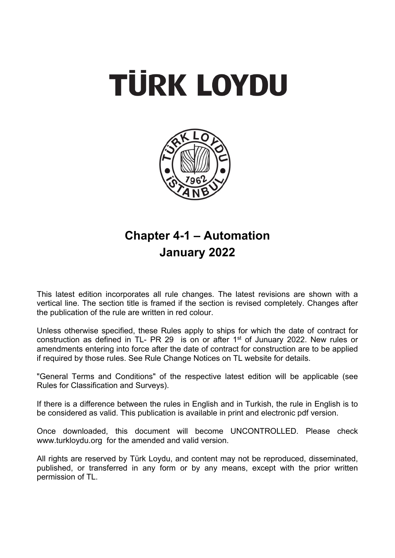



# **Chapter 4-1 – Automation January 2022**

This latest edition incorporates all rule changes. The latest revisions are shown with a vertical line. The section title is framed if the section is revised completely. Changes after the publication of the rule are written in red colour.

Unless otherwise specified, these Rules apply to ships for which the date of contract for construction as defined in TL- PR 29 is on or after  $1<sup>st</sup>$  of Junuary 2022. New rules or amendments entering into force after the date of contract for construction are to be applied if required by those rules. See Rule Change Notices on TL website for details.

"General Terms and Conditions" of the respective latest edition will be applicable (see Rules for Classification and Surveys).

If there is a difference between the rules in English and in Turkish, the rule in English is to be considered as valid. This publication is available in print and electronic pdf version.

Once downloaded, this document will become UNCONTROLLED. Please check www.turkloydu.org for the amended and valid version.

All rights are reserved by Türk Loydu, and content may not be reproduced, disseminated, published, or transferred in any form or by any means, except with the prior written permission of TL.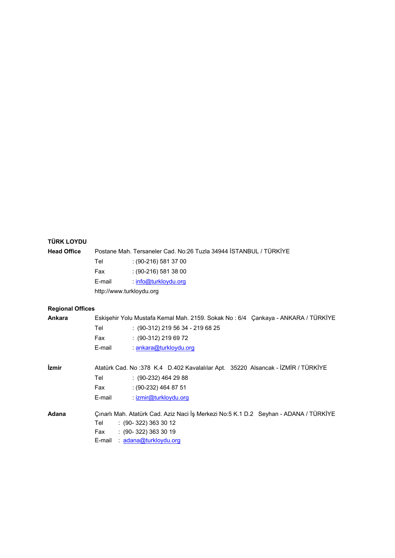# **TÜRK LOYDU**

| <b>Head Office</b>      |                          | Postane Mah. Tersaneler Cad. No:26 Tuzla 34944 ISTANBUL / TÜRKİYE                                                                                             |
|-------------------------|--------------------------|---------------------------------------------------------------------------------------------------------------------------------------------------------------|
|                         | Tel                      | $(90-216)$ 581 37 00                                                                                                                                          |
|                         | Fax                      | $(90-216)$ 581 38 00                                                                                                                                          |
|                         | E-mail                   | : info@turkloydu.org                                                                                                                                          |
|                         | http://www.turkloydu.org |                                                                                                                                                               |
| <b>Regional Offices</b> |                          |                                                                                                                                                               |
| Ankara                  |                          | Eskişehir Yolu Mustafa Kemal Mah. 2159. Sokak No: 6/4 Çankaya - ANKARA / TÜRKİYE                                                                              |
|                         | Tel                      | $(90-312)$ 219 56 34 - 219 68 25                                                                                                                              |
|                         | Fax                      | : (90-312) 219 69 72                                                                                                                                          |
|                         | E-mail                   | : ankara@turkloydu.org                                                                                                                                        |
| İzmir                   |                          | Atatürk Cad. No:378 K.4 D.402 Kavalalılar Apt. 35220 Alsancak - İZMİR / TÜRKİYE                                                                               |
|                         | Tel                      | $(90-232)$ 464 29 88                                                                                                                                          |
|                         | Fax                      | $: (90-232)$ 464 87 51                                                                                                                                        |
|                         | E-mail                   | : izmir@turkloydu.org                                                                                                                                         |
| Adana                   | Tel<br>Fax<br>E-mail     | Çınarlı Mah. Atatürk Cad. Aziz Naci İş Merkezi No:5 K.1 D.2 Seyhan - ADANA / TÜRKİYE<br>$(90-322)$ 363 30 12<br>$(90-322)$ 363 30 19<br>: adana@turkloydu.org |
|                         |                          |                                                                                                                                                               |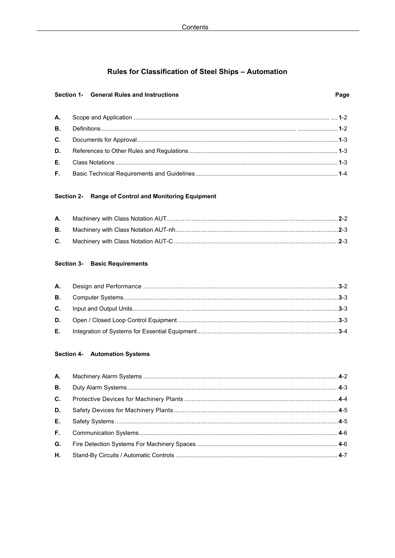# Rules for Classification of Steel Ships - Automation

## Section 1- General Rules and Instructions

# Section 2- Range of Control and Monitoring Equipment

### **Section 3- Basic Requirements**

# Section 4- Automation Systems

| <b>B.</b> |  |
|-----------|--|
| $C_{1}$   |  |
| D.        |  |
| E.        |  |
| F.        |  |
| G.        |  |
| Н.        |  |
|           |  |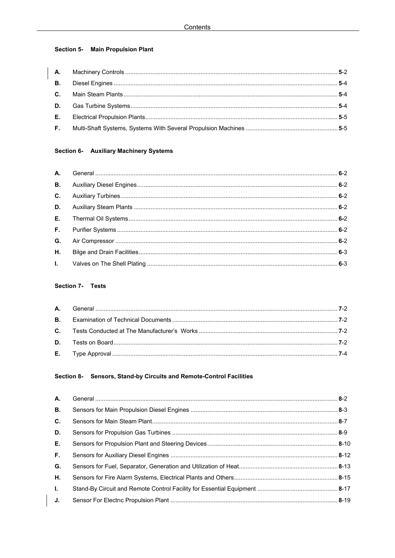# **Section 5- Main Propulsion Plant**

# Section 6- Auxiliary Machinery Systems

# Section 7- Tests

# Section 8- Sensors, Stand-by Circuits and Remote-Control Facilities

| А.             |  |
|----------------|--|
| <b>B.</b>      |  |
| $\mathbf{C}$ . |  |
| D.             |  |
| Е.             |  |
| F.             |  |
| G.             |  |
| Η.             |  |
| $\mathbf{L}$   |  |
| J.             |  |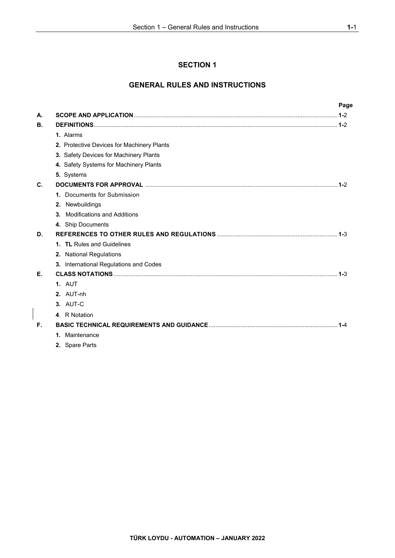# **SECTION 1**

# **GENERAL RULES AND INSTRUCTIONS**

|    |                                            | Page |
|----|--------------------------------------------|------|
| А. |                                            |      |
| В. |                                            |      |
|    | 1. Alarms                                  |      |
|    | 2. Protective Devices for Machinery Plants |      |
|    | 3. Safety Devices for Machinery Plants     |      |
|    | 4. Safety Systems for Machinery Plants     |      |
|    | 5. Systems                                 |      |
| C. |                                            |      |
|    | 1. Documents for Submission                |      |
|    | 2. Newbuildings                            |      |
|    | 3. Modifications and Additions             |      |
|    | 4. Ship Documents                          |      |
| D. |                                            |      |
|    | 1. TL Rules and Guidelines                 |      |
|    | 2. National Regulations                    |      |
|    | 3. International Regulations and Codes     |      |
| Е. |                                            |      |
|    | <b>1. AUT</b>                              |      |
|    | 2. AUT-nh                                  |      |
|    | 3. AUT-C                                   |      |
|    | 4. R Notation                              |      |
| F. |                                            |      |
|    | 1. Maintenance                             |      |
|    | 2. Spare Parts                             |      |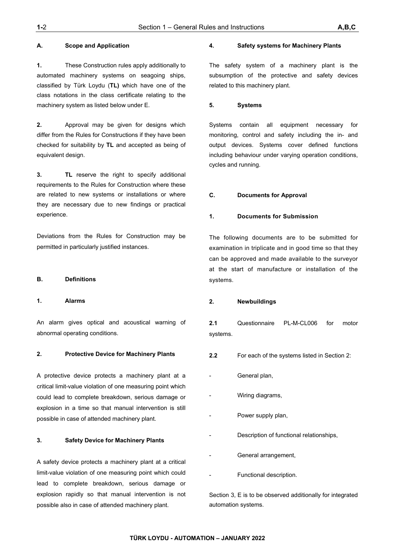**1.** These Construction rules apply additionally to automated machinery systems on seagoing ships, classified by Türk Loydu (**TL)** which have one of the class notations in the class certificate relating to the machinery system as listed below under E.

**2.** Approval may be given for designs which differ from the Rules for Constructions if they have been checked for suitability by **TL** and accepted as being of equivalent design.

**3. TL** reserve the right to specify additional requirements to the Rules for Construction where these are related to new systems or installations or where they are necessary due to new findings or practical experience.

Deviations from the Rules for Construction may be permitted in particularly justified instances.

### **B. Definitions**

#### **1. Alarms**

An alarm gives optical and acoustical warning of abnormal operating conditions.

### **2. Protective Device for Machinery Plants**

A protective device protects a machinery plant at a critical limit-value violation of one measuring point which could lead to complete breakdown, serious damage or explosion in a time so that manual intervention is still possible in case of attended machinery plant.

#### **3. Safety Device for Machinery Plants**

A safety device protects a machinery plant at a critical limit-value violation of one measuring point which could lead to complete breakdown, serious damage or explosion rapidly so that manual intervention is not possible also in case of attended machinery plant.

#### **4. Safety systems for Machinery Plants**

The safety system of a machinery plant is the subsumption of the protective and safety devices related to this machinery plant.

#### **5. Systems**

Systems contain all equipment necessary for monitoring, control and safety including the in- and output devices. Systems cover defined functions including behaviour under varying operation conditions, cycles and running.

#### **C. Documents for Approval**

### **1. Documents for Submission**

The following documents are to be submitted for examination in triplicate and in good time so that they can be approved and made available to the surveyor at the start of manufacture or installation of the systems.

### **2. Newbuildings**

**2.1** Questionnaire PL-M-CL006 for motor systems.

- **2.2** For each of the systems listed in Section 2:
- General plan,
- Wiring diagrams,
- Power supply plan,
- Description of functional relationships,
- General arrangement,
- Functional description.

Section 3, E is to be observed additionally for integrated automation systems.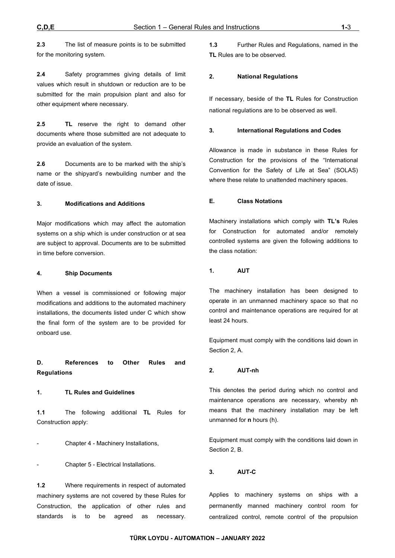**2.3** The list of measure points is to be submitted for the monitoring system.

**2.4** Safety programmes giving details of limit values which result in shutdown or reduction are to be submitted for the main propulsion plant and also for other equipment where necessary.

**2.5 TL** reserve the right to demand other documents where those submitted are not adequate to provide an evaluation of the system.

**2.6** Documents are to be marked with the ship's name or the shipyard's newbuilding number and the date of issue.

#### **3. Modifications and Additions**

Major modifications which may affect the automation systems on a ship which is under construction or at sea are subject to approval. Documents are to be submitted in time before conversion.

#### **4. Ship Documents**

When a vessel is commissioned or following major modifications and additions to the automated machinery installations, the documents listed under C which show the final form of the system are to be provided for onboard use.

**D. References to Other Rules and Regulations** 

#### **1. TL Rules and Guidelines**

**1.1** The following additional **TL** Rules for Construction apply:

- Chapter 4 - Machinery Installations,

- Chapter 5 - Electrical Installations.

**1.2** Where requirements in respect of automated machinery systems are not covered by these Rules for Construction, the application of other rules and standards is to be agreed as necessary.

**1.3** Further Rules and Regulations, named in the **TL** Rules are to be observed.

### **2. National Regulations**

If necessary, beside of the **TL** Rules for Construction national regulations are to be observed as well.

#### **3. International Regulations and Codes**

Allowance is made in substance in these Rules for Construction for the provisions of the "International Convention for the Safety of Life at Sea" (SOLAS) where these relate to unattended machinery spaces.

#### **E. Class Notations**

Machinery installations which comply with **TL's** Rules for Construction for automated and/or remotely controlled systems are given the following additions to the class notation:

#### **1. AUT**

The machinery installation has been designed to operate in an unmanned machinery space so that no control and maintenance operations are required for at least 24 hours.

Equipment must comply with the conditions laid down in Section 2, A.

### **2. AUT-nh**

This denotes the period during which no control and maintenance operations are necessary, whereby **n**h means that the machinery installation may be left unmanned for **n** hours (h).

Equipment must comply with the conditions laid down in Section 2, B.

#### **3. AUT-C**

Applies to machinery systems on ships with a permanently manned machinery control room for centralized control, remote control of the propulsion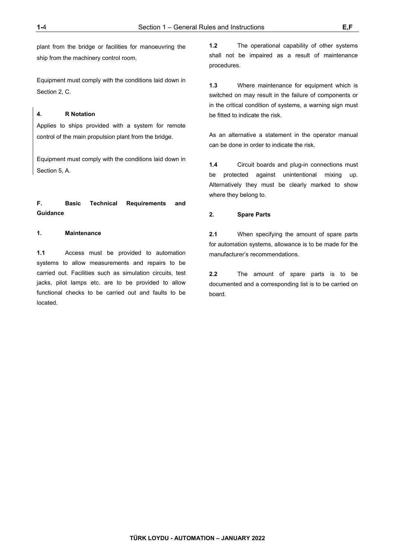plant from the bridge or facilities for manoeuvring the ship from the machinery control room.

Equipment must comply with the conditions laid down in Section 2, C.

#### **4. R Notation**

Applies to ships provided with a system for remote control of the main propulsion plant from the bridge.

Equipment must comply with the conditions laid down in Section 5, A.

# **F. Basic Technical Requirements and Guidance**

#### **1. Maintenance**

**1.1** Access must be provided to automation systems to allow measurements and repairs to be carried out. Facilities such as simulation circuits, test jacks, pilot lamps etc. are to be provided to allow functional checks to be carried out and faults to be located.

**1.2** The operational capability of other systems shall not be impaired as a result of maintenance procedures.

**1.3** Where maintenance for equipment which is switched on may result in the failure of components or in the critical condition of systems, a warning sign must be fitted to indicate the risk.

As an alternative a statement in the operator manual can be done in order to indicate the risk.

**1.4** Circuit boards and plug-in connections must be protected against unintentional mixing up. Alternatively they must be clearly marked to show where they belong to.

### **2. Spare Parts**

**2.1** When specifying the amount of spare parts for automation systems, allowance is to be made for the manufacturer's recommendations.

**2.2** The amount of spare parts is to be documented and a corresponding list is to be carried on board.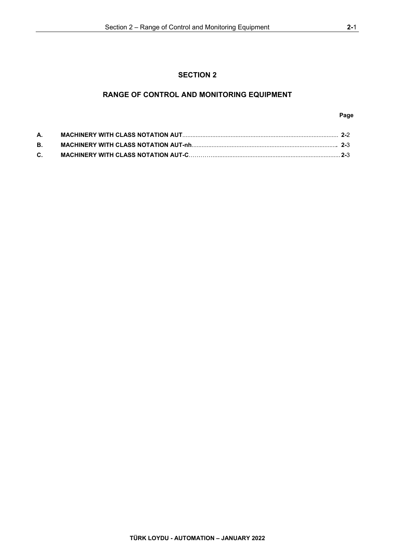# **SECTION 2**

# **RANGE OF CONTROL AND MONITORING EQUIPMENT**

### **Page**

| А. |  |
|----|--|
| В. |  |
| C. |  |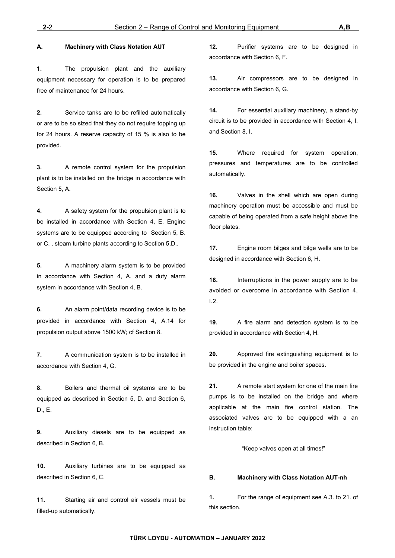### **A. Machinery with Class Notation AUT**

**1.** The propulsion plant and the auxiliary equipment necessary for operation is to be prepared free of maintenance for 24 hours.

**2.** Service tanks are to be refilled automatically or are to be so sized that they do not require topping up for 24 hours. A reserve capacity of 15 % is also to be provided.

**3.** A remote control system for the propulsion plant is to be installed on the bridge in accordance with Section 5, A.

**4.** A safety system for the propulsion plant is to be installed in accordance with Section 4, E. Engine systems are to be equipped according to Section 5, B. or C. , steam turbine plants according to Section 5,D..

**5.** A machinery alarm system is to be provided in accordance with Section 4, A. and a duty alarm system in accordance with Section 4, B.

**6.** An alarm point/data recording device is to be provided in accordance with Section 4, A.14 for propulsion output above 1500 kW; cf Section 8.

**7.** A communication system is to be installed in accordance with Section 4, G.

**8.** Boilers and thermal oil systems are to be equipped as described in Section 5, D. and Section 6, D., E.

**9.** Auxiliary diesels are to be equipped as described in Section 6, B.

**10.** Auxiliary turbines are to be equipped as described in Section 6, C.

**11.** Starting air and control air vessels must be filled-up automatically.

**12.** Purifier systems are to be designed in accordance with Section 6, F.

**13.** Air compressors are to be designed in accordance with Section 6, G.

**14.** For essential auxiliary machinery, a stand-by circuit is to be provided in accordance with Section 4, I. and Section 8, I.

**15.** Where required for system operation, pressures and temperatures are to be controlled automatically.

**16.** Valves in the shell which are open during machinery operation must be accessible and must be capable of being operated from a safe height above the floor plates.

**17.** Engine room bilges and bilge wells are to be designed in accordance with Section 6, H.

**18.** Interruptions in the power supply are to be avoided or overcome in accordance with Section 4, I.2.

**19.** A fire alarm and detection system is to be provided in accordance with Section 4, H.

**20.** Approved fire extinguishing equipment is to be provided in the engine and boiler spaces.

**21.** A remote start system for one of the main fire pumps is to be installed on the bridge and where applicable at the main fire control station. The associated valves are to be equipped with a an instruction table:

"Keep valves open at all times!"

#### **B. Machinery with Class Notation AUT-nh**

**1.** For the range of equipment see A.3. to 21. of this section.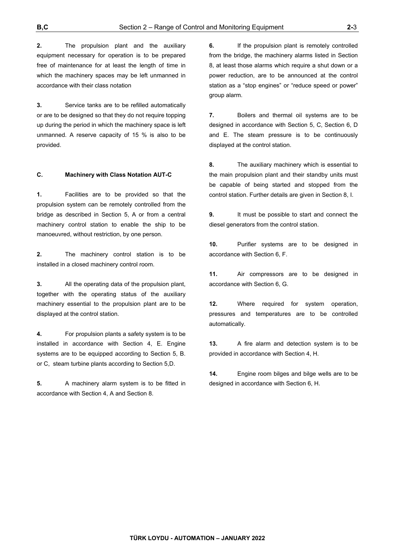**2.** The propulsion plant and the auxiliary equipment necessary for operation is to be prepared free of maintenance for at least the length of time in which the machinery spaces may be left unmanned in accordance with their class notation

**3.** Service tanks are to be refilled automatically or are to be designed so that they do not require topping up during the period in which the machinery space is left unmanned. A reserve capacity of 15 % is also to be provided.

#### **C. Machinery with Class Notation AUT-C**

**1.** Facilities are to be provided so that the propulsion system can be remotely controlled from the bridge as described in Section 5, A or from a central machinery control station to enable the ship to be manoeuvred, without restriction, by one person.

**2.** The machinery control station is to be installed in a closed machinery control room.

**3.** All the operating data of the propulsion plant, together with the operating status of the auxiliary machinery essential to the propulsion plant are to be displayed at the control station.

**4.** For propulsion plants a safety system is to be installed in accordance with Section 4, E. Engine systems are to be equipped according to Section 5, B. or C, steam turbine plants according to Section 5,D.

**5.** A machinery alarm system is to be fitted in accordance with Section 4, A and Section 8.

**6.** If the propulsion plant is remotely controlled from the bridge, the machinery alarms listed in Section 8, at least those alarms which require a shut down or a power reduction, are to be announced at the control station as a "stop engines" or "reduce speed or power" group alarm.

**7.** Boilers and thermal oil systems are to be designed in accordance with Section 5, C, Section 6, D and E. The steam pressure is to be continuously displayed at the control station.

**8.** The auxiliary machinery which is essential to the main propulsion plant and their standby units must be capable of being started and stopped from the control station. Further details are given in Section 8, I.

**9.** It must be possible to start and connect the diesel generators from the control station.

**10.** Purifier systems are to be designed in accordance with Section 6, F.

**11.** Air compressors are to be designed in accordance with Section 6, G.

**12.** Where required for system operation, pressures and temperatures are to be controlled automatically.

**13.** A fire alarm and detection system is to be provided in accordance with Section 4, H.

**14.** Engine room bilges and bilge wells are to be designed in accordance with Section 6, H.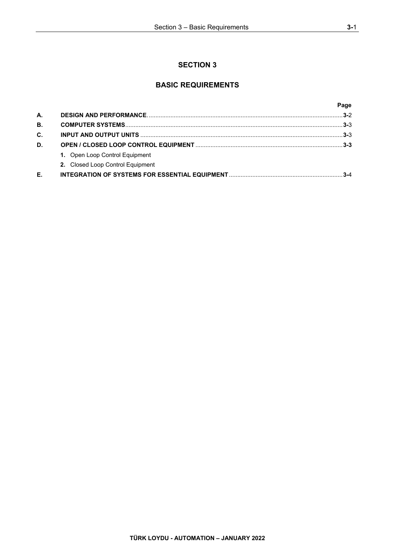# **SECTION 3**

# **BASIC REQUIREMENTS**

|    |                                  | Page    |
|----|----------------------------------|---------|
| А. |                                  |         |
| В. |                                  |         |
| C. |                                  |         |
| D. |                                  |         |
|    | 1. Open Loop Control Equipment   |         |
|    | 2. Closed Loop Control Equipment |         |
| Е. |                                  | $3 - 4$ |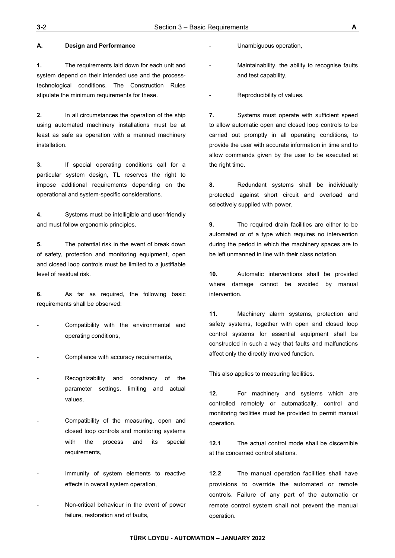#### **A. Design and Performance**

**1.** The requirements laid down for each unit and system depend on their intended use and the processtechnological conditions. The Construction Rules stipulate the minimum requirements for these.

**2.** In all circumstances the operation of the ship using automated machinery installations must be at least as safe as operation with a manned machinery installation.

**3.** If special operating conditions call for a particular system design, **TL** reserves the right to impose additional requirements depending on the operational and system-specific considerations.

**4.** Systems must be intelligible and user-friendly and must follow ergonomic principles.

**5.** The potential risk in the event of break down of safety, protection and monitoring equipment, open and closed loop controls must be limited to a justifiable level of residual risk.

**6.** As far as required, the following basic requirements shall be observed:

- Compatibility with the environmental and operating conditions,
- Compliance with accuracy requirements,
- Recognizability and constancy of the parameter settings, limiting and actual values,
- Compatibility of the measuring, open and closed loop controls and monitoring systems with the process and its special requirements,
- Immunity of system elements to reactive effects in overall system operation,
- Non-critical behaviour in the event of power failure, restoration and of faults,

Unambiguous operation,

Maintainability, the ability to recognise faults and test capability,

Reproducibility of values.

**7.** Systems must operate with sufficient speed to allow automatic open and closed loop controls to be carried out promptly in all operating conditions, to provide the user with accurate information in time and to allow commands given by the user to be executed at the right time.

**8.** Redundant systems shall be individually protected against short circuit and overload and selectively supplied with power.

**9.** The required drain facilities are either to be automated or of a type which requires no intervention during the period in which the machinery spaces are to be left unmanned in line with their class notation.

**10.** Automatic interventions shall be provided where damage cannot be avoided by manual intervention.

**11.** Machinery alarm systems, protection and safety systems, together with open and closed loop control systems for essential equipment shall be constructed in such a way that faults and malfunctions affect only the directly involved function.

This also applies to measuring facilities.

**12.** For machinery and systems which are controlled remotely or automatically, control and monitoring facilities must be provided to permit manual operation.

**12.1** The actual control mode shall be discernible at the concerned control stations.

**12.2** The manual operation facilities shall have provisions to override the automated or remote controls. Failure of any part of the automatic or remote control system shall not prevent the manual operation.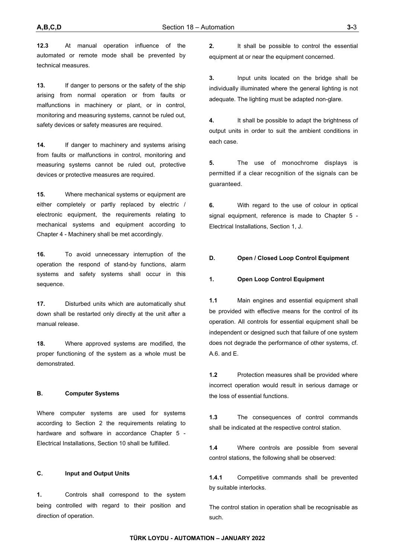**12.3** At manual operation influence of the automated or remote mode shall be prevented by technical measures.

**13.** If danger to persons or the safety of the ship arising from normal operation or from faults or malfunctions in machinery or plant, or in control, monitoring and measuring systems, cannot be ruled out, safety devices or safety measures are required.

**14.** If danger to machinery and systems arising from faults or malfunctions in control, monitoring and measuring systems cannot be ruled out, protective devices or protective measures are required.

**15.** Where mechanical systems or equipment are either completely or partly replaced by electric / electronic equipment, the requirements relating to mechanical systems and equipment according to Chapter 4 - Machinery shall be met accordingly.

**16.** To avoid unnecessary interruption of the operation the respond of stand-by functions, alarm systems and safety systems shall occur in this sequence.

**17.** Disturbed units which are automatically shut down shall be restarted only directly at the unit after a manual release.

**18.** Where approved systems are modified, the proper functioning of the system as a whole must be demonstrated.

### **B. Computer Systems**

Where computer systems are used for systems according to Section 2 the requirements relating to hardware and software in accordance Chapter 5 - Electrical Installations, Section 10 shall be fulfilled.

### **C. Input and Output Units**

**1.** Controls shall correspond to the system being controlled with regard to their position and direction of operation.

**2.** It shall be possible to control the essential equipment at or near the equipment concerned.

**3.** Input units located on the bridge shall be individually illuminated where the general lighting is not adequate. The lighting must be adapted non-glare.

**4.** It shall be possible to adapt the brightness of output units in order to suit the ambient conditions in each case.

**5.** The use of monochrome displays is permitted if a clear recognition of the signals can be guaranteed.

**6.** With regard to the use of colour in optical signal equipment, reference is made to Chapter 5 - Electrical Installations, Section 1, J.

### **D. Open / Closed Loop Control Equipment**

#### **1. Open Loop Control Equipment**

**1.1** Main engines and essential equipment shall be provided with effective means for the control of its operation. All controls for essential equipment shall be independent or designed such that failure of one system does not degrade the performance of other systems, cf. A.6. and E.

**1.2** Protection measures shall be provided where incorrect operation would result in serious damage or the loss of essential functions.

**1.3** The consequences of control commands shall be indicated at the respective control station.

**1.4** Where controls are possible from several control stations, the following shall be observed:

**1.4.1** Competitive commands shall be prevented by suitable interlocks.

The control station in operation shall be recognisable as such.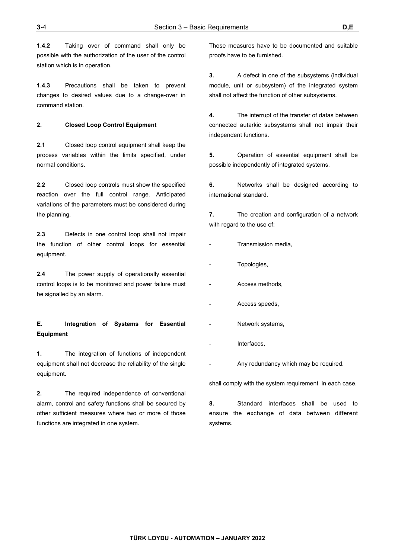**1.4.2** Taking over of command shall only be possible with the authorization of the user of the control station which is in operation.

**1.4.3** Precautions shall be taken to prevent changes to desired values due to a change-over in command station.

#### **2. Closed Loop Control Equipment**

**2.1** Closed loop control equipment shall keep the process variables within the limits specified, under normal conditions.

**2.2** Closed loop controls must show the specified reaction over the full control range. Anticipated variations of the parameters must be considered during the planning.

**2.3** Defects in one control loop shall not impair the function of other control loops for essential equipment.

**2.4** The power supply of operationally essential control loops is to be monitored and power failure must be signalled by an alarm.

# **E. Integration of Systems for Essential Equipment**

**1.** The integration of functions of independent equipment shall not decrease the reliability of the single equipment.

**2.** The required independence of conventional alarm, control and safety functions shall be secured by other sufficient measures where two or more of those functions are integrated in one system.

These measures have to be documented and suitable proofs have to be furnished.

**3.** A defect in one of the subsystems (individual module, unit or subsystem) of the integrated system shall not affect the function of other subsystems.

**4.** The interrupt of the transfer of datas between connected autarkic subsystems shall not impair their independent functions.

**5.** Operation of essential equipment shall be possible independently of integrated systems.

**6.** Networks shall be designed according to international standard.

**7.** The creation and configuration of a network with regard to the use of:

- Transmission media,
- Topologies,
- Access methods,
- Access speeds,
- Network systems,
- Interfaces,
- Any redundancy which may be required.

shall comply with the system requirement in each case.

**8.** Standard interfaces shall be used to ensure the exchange of data between different systems.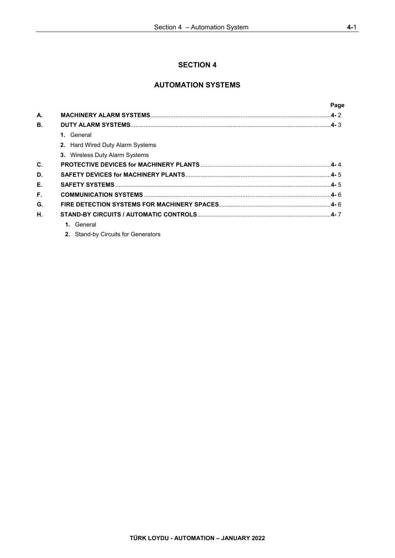# **SECTION 4**

# **AUTOMATION SYSTEMS**

|    |                                       | Page |
|----|---------------------------------------|------|
| А. |                                       |      |
| В. |                                       |      |
|    | 1. General                            |      |
|    | 2. Hard Wired Duty Alarm Systems      |      |
|    | <b>3.</b> Wireless Duty Alarm Systems |      |
| C. |                                       |      |
| D. |                                       |      |
| Е. |                                       |      |
| F. |                                       |      |
| G. |                                       |      |
| Η. |                                       |      |
|    | 1. General                            |      |
|    |                                       |      |

**2.** Stand-by Circuits for Generators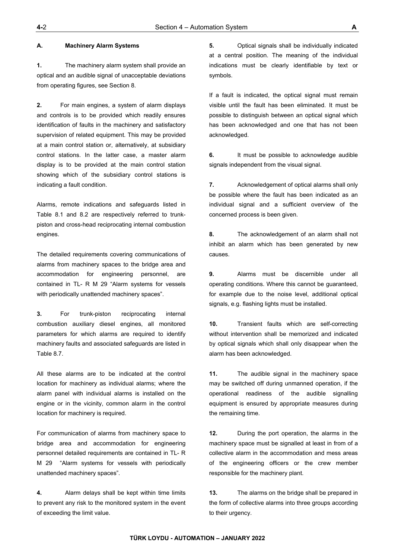#### **A. Machinery Alarm Systems**

**1.** The machinery alarm system shall provide an optical and an audible signal of unacceptable deviations from operating figures, see Section 8.

**2.** For main engines, a system of alarm displays and controls is to be provided which readily ensures identification of faults in the machinery and satisfactory supervision of related equipment. This may be provided at a main control station or, alternatively, at subsidiary control stations. In the latter case, a master alarm display is to be provided at the main control station showing which of the subsidiary control stations is indicating a fault condition.

Alarms, remote indications and safeguards listed in Table 8.1 and 8.2 are respectively referred to trunkpiston and cross-head reciprocating internal combustion engines.

The detailed requirements covering communications of alarms from machinery spaces to the bridge area and accommodation for engineering personnel, are contained in TL- R M 29 "Alarm systems for vessels with periodically unattended machinery spaces".

**3.** For trunk-piston reciprocating internal combustion auxiliary diesel engines, all monitored parameters for which alarms are required to identify machinery faults and associated safeguards are listed in Table 8.7.

All these alarms are to be indicated at the control location for machinery as individual alarms; where the alarm panel with individual alarms is installed on the engine or in the vicinity, common alarm in the control location for machinery is required.

For communication of alarms from machinery space to bridge area and accommodation for engineering personnel detailed requirements are contained in TL- R M 29 "Alarm systems for vessels with periodically unattended machinery spaces".

**4.** Alarm delays shall be kept within time limits to prevent any risk to the monitored system in the event of exceeding the limit value.

**5.** Optical signals shall be individually indicated at a central position. The meaning of the individual indications must be clearly identifiable by text or symbols.

If a fault is indicated, the optical signal must remain visible until the fault has been eliminated. It must be possible to distinguish between an optical signal which has been acknowledged and one that has not been acknowledged.

**6.** It must be possible to acknowledge audible signals independent from the visual signal.

**7.** Acknowledgement of optical alarms shall only be possible where the fault has been indicated as an individual signal and a sufficient overview of the concerned process is been given.

**8.** The acknowledgement of an alarm shall not inhibit an alarm which has been generated by new causes.

**9.** Alarms must be discernible under all operating conditions. Where this cannot be guaranteed, for example due to the noise level, additional optical signals, e.g. flashing lights must be installed.

**10.** Transient faults which are self-correcting without intervention shall be memorized and indicated by optical signals which shall only disappear when the alarm has been acknowledged.

**11.** The audible signal in the machinery space may be switched off during unmanned operation, if the operational readiness of the audible signalling equipment is ensured by appropriate measures during the remaining time.

**12.** During the port operation, the alarms in the machinery space must be signalled at least in from of a collective alarm in the accommodation and mess areas of the engineering officers or the crew member responsible for the machinery plant.

**13.** The alarms on the bridge shall be prepared in the form of collective alarms into three groups according to their urgency.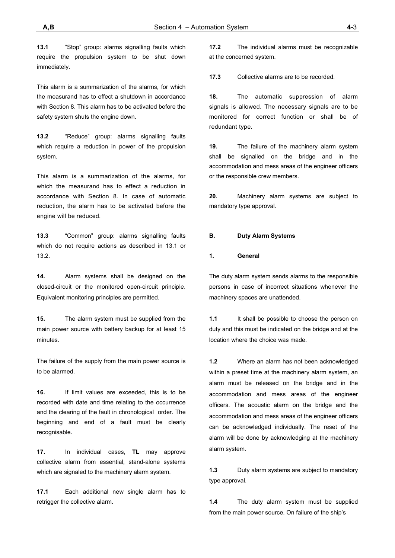**13.1** "Stop" group: alarms signalling faults which require the propulsion system to be shut down immediately.

This alarm is a summarization of the alarms, for which the measurand has to effect a shutdown in accordance with Section 8. This alarm has to be activated before the safety system shuts the engine down.

**13.2** "Reduce" group: alarms signalling faults which require a reduction in power of the propulsion system.

This alarm is a summarization of the alarms, for which the measurand has to effect a reduction in accordance with Section 8. In case of automatic reduction, the alarm has to be activated before the engine will be reduced.

**13.3** "Common" group: alarms signalling faults which do not require actions as described in 13.1 or 13.2.

**14.** Alarm systems shall be designed on the closed-circuit or the monitored open-circuit principle. Equivalent monitoring principles are permitted.

**15.** The alarm system must be supplied from the main power source with battery backup for at least 15 minutes

The failure of the supply from the main power source is to be alarmed.

**16.** If limit values are exceeded, this is to be recorded with date and time relating to the occurrence and the clearing of the fault in chronological order. The beginning and end of a fault must be clearly recognisable.

**17.** In individual cases, **TL** may approve collective alarm from essential, stand-alone systems which are signaled to the machinery alarm system.

**17.1** Each additional new single alarm has to retrigger the collective alarm.

**17.2** The individual alarms must be recognizable at the concerned system.

**17.3** Collective alarms are to be recorded.

**18.** The automatic suppression of alarm signals is allowed. The necessary signals are to be monitored for correct function or shall be of redundant type.

**19.** The failure of the machinery alarm system shall be signalled on the bridge and in the accommodation and mess areas of the engineer officers or the responsible crew members.

**20.** Machinery alarm systems are subject to mandatory type approval.

#### **B. Duty Alarm Systems**

#### **1. General**

The duty alarm system sends alarms to the responsible persons in case of incorrect situations whenever the machinery spaces are unattended.

**1.1** It shall be possible to choose the person on duty and this must be indicated on the bridge and at the location where the choice was made.

**1.2** Where an alarm has not been acknowledged within a preset time at the machinery alarm system, an alarm must be released on the bridge and in the accommodation and mess areas of the engineer officers. The acoustic alarm on the bridge and the accommodation and mess areas of the engineer officers can be acknowledged individually. The reset of the alarm will be done by acknowledging at the machinery alarm system.

**1.3** Duty alarm systems are subject to mandatory type approval.

**1.4** The duty alarm system must be supplied from the main power source. On failure of the ship's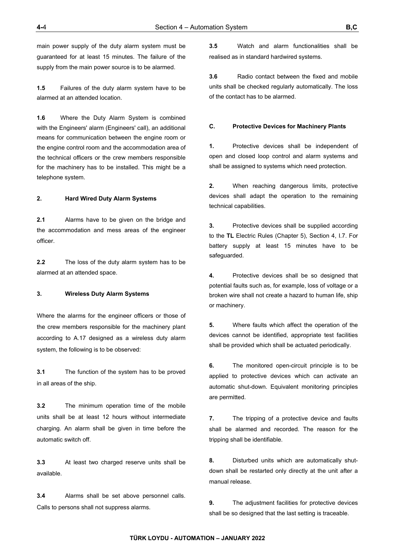main power supply of the duty alarm system must be guaranteed for at least 15 minutes. The failure of the supply from the main power source is to be alarmed.

**1.5** Failures of the duty alarm system have to be alarmed at an attended location.

**1.6** Where the Duty Alarm System is combined with the Engineers' alarm (Engineers' call), an additional means for communication between the engine room or the engine control room and the accommodation area of the technical officers or the crew members responsible for the machinery has to be installed. This might be a telephone system.

### **2. Hard Wired Duty Alarm Systems**

**2.1** Alarms have to be given on the bridge and the accommodation and mess areas of the engineer officer.

**2.2** The loss of the duty alarm system has to be alarmed at an attended space.

# **3. Wireless Duty Alarm Systems**

Where the alarms for the engineer officers or those of the crew members responsible for the machinery plant according to A.17 designed as a wireless duty alarm system, the following is to be observed:

**3.1** The function of the system has to be proved in all areas of the ship.

**3.2** The minimum operation time of the mobile units shall be at least 12 hours without intermediate charging. An alarm shall be given in time before the automatic switch off.

**3.3** At least two charged reserve units shall be available.

**3.4** Alarms shall be set above personnel calls. Calls to persons shall not suppress alarms.

**3.5** Watch and alarm functionalities shall be realised as in standard hardwired systems.

**3.6** Radio contact between the fixed and mobile units shall be checked regularly automatically. The loss of the contact has to be alarmed.

#### **C. Protective Devices for Machinery Plants**

**1.** Protective devices shall be independent of open and closed loop control and alarm systems and shall be assigned to systems which need protection.

**2.** When reaching dangerous limits, protective devices shall adapt the operation to the remaining technical capabilities.

**3.** Protective devices shall be supplied according to the **TL** Electric Rules (Chapter 5), Section 4, I.7. For battery supply at least 15 minutes have to be safeguarded.

**4.** Protective devices shall be so designed that potential faults such as, for example, loss of voltage or a broken wire shall not create a hazard to human life, ship or machinery.

**5.** Where faults which affect the operation of the devices cannot be identified, appropriate test facilities shall be provided which shall be actuated periodically.

**6.** The monitored open-circuit principle is to be applied to protective devices which can activate an automatic shut-down. Equivalent monitoring principles are permitted.

**7.** The tripping of a protective device and faults shall be alarmed and recorded. The reason for the tripping shall be identifiable.

**8.** Disturbed units which are automatically shutdown shall be restarted only directly at the unit after a manual release.

**9.** The adjustment facilities for protective devices shall be so designed that the last setting is traceable.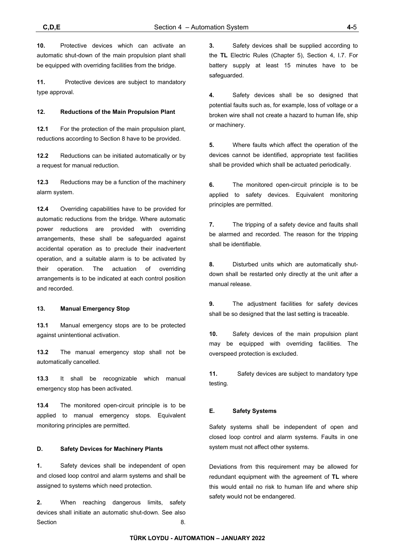**10.** Protective devices which can activate an automatic shut-down of the main propulsion plant shall be equipped with overriding facilities from the bridge.

**11.** Protective devices are subject to mandatory type approval.

### **12. Reductions of the Main Propulsion Plant**

**12.1** For the protection of the main propulsion plant, reductions according to Section 8 have to be provided.

**12.2** Reductions can be initiated automatically or by a request for manual reduction.

**12.3** Reductions may be a function of the machinery alarm system.

**12.4** Overriding capabilities have to be provided for automatic reductions from the bridge. Where automatic power reductions are provided with overriding arrangements, these shall be safeguarded against accidental operation as to preclude their inadvertent operation, and a suitable alarm is to be activated by their operation. The actuation of overriding arrangements is to be indicated at each control position and recorded.

### **13. Manual Emergency Stop**

**13.1** Manual emergency stops are to be protected against unintentional activation.

**13.2** The manual emergency stop shall not be automatically cancelled.

**13.3** It shall be recognizable which manual emergency stop has been activated.

**13.4** The monitored open-circuit principle is to be applied to manual emergency stops. Equivalent monitoring principles are permitted.

### **D. Safety Devices for Machinery Plants**

**1.** Safety devices shall be independent of open and closed loop control and alarm systems and shall be assigned to systems which need protection.

**2.** When reaching dangerous limits, safety devices shall initiate an automatic shut-down. See also Section 8.

**3.** Safety devices shall be supplied according to the **TL** Electric Rules (Chapter 5), Section 4, I.7. For battery supply at least 15 minutes have to be safeguarded.

**4.** Safety devices shall be so designed that potential faults such as, for example, loss of voltage or a broken wire shall not create a hazard to human life, ship or machinery.

**5.** Where faults which affect the operation of the devices cannot be identified, appropriate test facilities shall be provided which shall be actuated periodically.

**6.** The monitored open-circuit principle is to be applied to safety devices. Equivalent monitoring principles are permitted.

**7.** The tripping of a safety device and faults shall be alarmed and recorded. The reason for the tripping shall be identifiable.

**8.** Disturbed units which are automatically shutdown shall be restarted only directly at the unit after a manual release.

**9.** The adjustment facilities for safety devices shall be so designed that the last setting is traceable.

**10.** Safety devices of the main propulsion plant may be equipped with overriding facilities. The overspeed protection is excluded.

**11.** Safety devices are subject to mandatory type testing.

### **E. Safety Systems**

Safety systems shall be independent of open and closed loop control and alarm systems. Faults in one system must not affect other systems.

Deviations from this requirement may be allowed for redundant equipment with the agreement of **TL** where this would entail no risk to human life and where ship safety would not be endangered.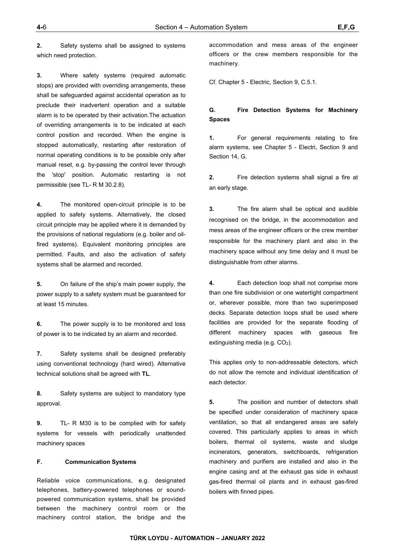**2.** Safety systems shall be assigned to systems which need protection.

**3.** Where safety systems (required automatic stops) are provided with overriding arrangements, these shall be safeguarded against accidental operation as to preclude their inadvertent operation and a suitable alarm is to be operated by their activation.The actuation of overriding arrangements is to be indicated at each control position and recorded. When the engine is stopped automatically, restarting after restoration of normal operating conditions is to be possible only after manual reset, e.g. by-passing the control lever through the 'stop' position. Automatic restarting is not permissible (see TL- R M 30.2.8).

**4.** The monitored open-circuit principle is to be applied to safety systems. Alternatively, the closed circuit principle may be applied where it is demanded by the provisions of national regulations (e.g. boiler and oilfired systems). Equivalent monitoring principles are permitted. Faults, and also the activation of safety systems shall be alarmed and recorded.

**5.** On failure of the ship's main power supply, the power supply to a safety system must be guaranteed for at least 15 minutes.

**6.** The power supply is to be monitored and loss of power is to be indicated by an alarm and recorded.

**7.** Safety systems shall be designed preferably using conventional technology (hard wired). Alternative technical solutions shall be agreed with **TL**.

**8.** Safety systems are subject to mandatory type approval.

**9.** TL- R M30 is to be complied with for safety systems for vessels with periodically unattended machinery spaces

## **F. Communication Systems**

Reliable voice communications, e.g. designated telephones, battery-powered telephones or soundpowered communication systems, shall be provided between the machinery control room or the machinery control station, the bridge and the

accommodation and mess areas of the engineer officers or the crew members responsible for the machinery.

Cf. Chapter 5 - Electric, Section 9, C.5.1.

# **G. Fire Detection Systems for Machinery Spaces**

**1.** For general requirements relating to fire alarm systems, see Chapter 5 - Electri, Section 9 and Section 14, G.

**2.** Fire detection systems shall signal a fire at an early stage.

**3.** The fire alarm shall be optical and audible recognised on the bridge, in the accommodation and mess areas of the engineer officers or the crew member responsible for the machinery plant and also in the machinery space without any time delay and it must be distinguishable from other alarms.

**4.** Each detection loop shall not comprise more than one fire subdivision or one watertight compartment or, wherever possible, more than two superimposed decks. Separate detection loops shall be used where facilities are provided for the separate flooding of different machinery spaces with gaseous fire extinguishing media (e.g. CO<sub>2</sub>).

This applies only to non-addressable detectors, which do not allow the remote and individual identification of each detector.

**5.** The position and number of detectors shall be specified under consideration of machinery space ventilation, so that all endangered areas are safely covered. This particularly applies to areas in which boilers, thermal oil systems, waste and sludge incinerators, generators, switchboards, refrigeration machinery and purifiers are installed and also in the engine casing and at the exhaust gas side in exhaust gas-fired thermal oil plants and in exhaust gas-fired boilers with finned pipes.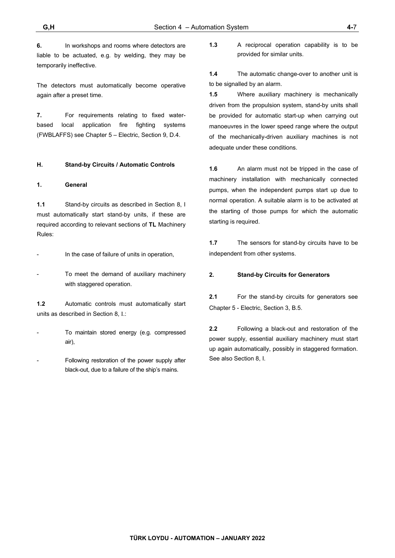**6.** In workshops and rooms where detectors are liable to be actuated, e.g. by welding, they may be temporarily ineffective.

The detectors must automatically become operative again after a preset time.

**7.** For requirements relating to fixed waterbased local application fire fighting systems (FWBLAFFS) see Chapter 5 – Electric, Section 9, D.4.

### **H. Stand-by Circuits / Automatic Controls**

### **1. General**

**1.1** Stand-by circuits as described in Section 8, I must automatically start stand-by units, if these are required according to relevant sections of **TL** Machinery Rules:

In the case of failure of units in operation,

To meet the demand of auxiliary machinery with staggered operation.

**1.2** Automatic controls must automatically start units as described in Section 8, I.:

To maintain stored energy (e.g. compressed air),

Following restoration of the power supply after black-out, due to a failure of the ship's mains.

**1.3** A reciprocal operation capability is to be provided for similar units.

**1.4** The automatic change-over to another unit is to be signalled by an alarm.

**1.5** Where auxiliary machinery is mechanically driven from the propulsion system, stand-by units shall be provided for automatic start-up when carrying out manoeuvres in the lower speed range where the output of the mechanically-driven auxiliary machines is not adequate under these conditions.

**1.6** An alarm must not be tripped in the case of machinery installation with mechanically connected pumps, when the independent pumps start up due to normal operation. A suitable alarm is to be activated at the starting of those pumps for which the automatic starting is required.

**1.7** The sensors for stand-by circuits have to be independent from other systems.

#### **2. Stand-by Circuits for Generators**

**2.1** For the stand-by circuits for generators see Chapter 5 - Electric, Section 3, B.5.

**2.2** Following a black-out and restoration of the power supply, essential auxiliary machinery must start up again automatically, possibly in staggered formation. See also Section 8, I.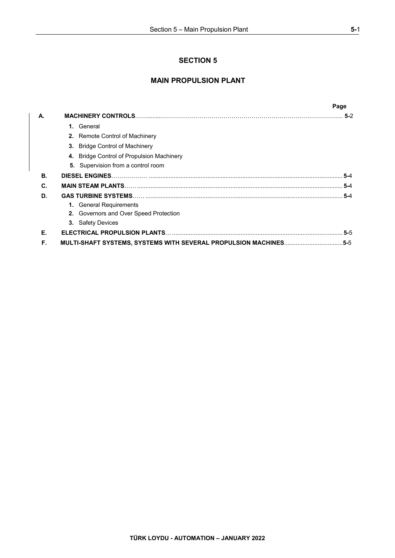# **SECTION 5**

# **MAIN PROPULSION PLANT**

|    |                                                                  | Page    |
|----|------------------------------------------------------------------|---------|
| А. |                                                                  |         |
|    | 1. General                                                       |         |
|    | 2. Remote Control of Machinery                                   |         |
|    | <b>3.</b> Bridge Control of Machinery                            |         |
|    | 4. Bridge Control of Propulsion Machinery                        |         |
|    | <b>5.</b> Supervision from a control room                        |         |
| В. |                                                                  | $5 - 4$ |
| C. |                                                                  | $5 - 4$ |
| D. |                                                                  |         |
|    | 1. General Requirements                                          |         |
|    | 2. Governors and Over Speed Protection                           |         |
|    | <b>3.</b> Safety Devices                                         |         |
| Е. |                                                                  |         |
| F. | MULTI-SHAFT SYSTEMS, SYSTEMS WITH SEVERAL PROPULSION MACHINES5-5 |         |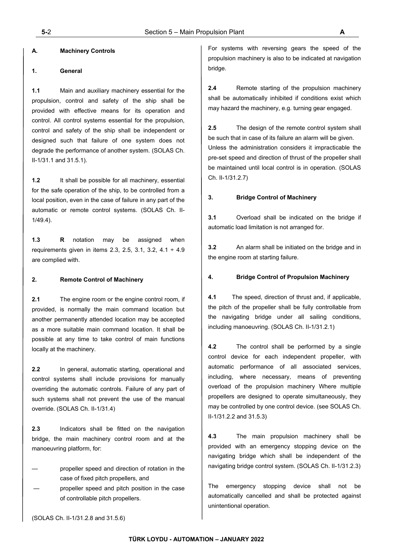# **A. Machinery Controls**

### **1. General**

**1.1** Main and auxiliary machinery essential for the propulsion, control and safety of the ship shall be provided with effective means for its operation and control. All control systems essential for the propulsion, control and safety of the ship shall be independent or designed such that failure of one system does not degrade the performance of another system. (SOLAS Ch. II-1/31.1 and 31.5.1).

**1.2** It shall be possible for all machinery, essential for the safe operation of the ship, to be controlled from a local position, even in the case of failure in any part of the automatic or remote control systems. (SOLAS Ch. II-1/49.4).

**1.3 R** notation may be assigned when requirements given in items 2.3, 2.5, 3.1, 3.2,  $4.1 \div 4.9$ are complied with.

### **2. Remote Control of Machinery**

**2.1** The engine room or the engine control room, if provided, is normally the main command location but another permanently attended location may be accepted as a more suitable main command location. It shall be possible at any time to take control of main functions locally at the machinery.

**2.2** In general, automatic starting, operational and control systems shall include provisions for manually overriding the automatic controls. Failure of any part of such systems shall not prevent the use of the manual override. (SOLAS Ch. II-1/31.4)

**2.3** Indicators shall be fitted on the navigation bridge, the main machinery control room and at the manoeuvring platform, for:

propeller speed and direction of rotation in the case of fixed pitch propellers, and

propeller speed and pitch position in the case of controllable pitch propellers.

For systems with reversing gears the speed of the propulsion machinery is also to be indicated at navigation bridge.

**2.4** Remote starting of the propulsion machinery shall be automatically inhibited if conditions exist which may hazard the machinery, e.g. turning gear engaged.

**2.5** The design of the remote control system shall be such that in case of its failure an alarm will be given. Unless the administration considers it impracticable the pre-set speed and direction of thrust of the propeller shall be maintained until local control is in operation. (SOLAS Ch. II-1/31.2.7)

#### **3. Bridge Control of Machinery**

**3.1** Overload shall be indicated on the bridge if automatic load limitation is not arranged for.

**3.2** An alarm shall be initiated on the bridge and in the engine room at starting failure.

#### **4. Bridge Control of Propulsion Machinery**

**4.1** The speed, direction of thrust and, if applicable, the pitch of the propeller shall be fully controllable from the navigating bridge under all sailing conditions, including manoeuvring. (SOLAS Ch. II-1/31.2.1)

**4.2** The control shall be performed by a single control device for each independent propeller, with automatic performance of all associated services, including, where necessary, means of preventing overload of the propulsion machinery Where multiple propellers are designed to operate simultaneously, they may be controlled by one control device. (see SOLAS Ch. II-1/31.2.2 and 31.5.3)

**4.3** The main propulsion machinery shall be provided with an emergency stopping device on the navigating bridge which shall be independent of the navigating bridge control system. (SOLAS Ch. II-1/31.2.3)

The emergency stopping device shall not be automatically cancelled and shall be protected against unintentional operation.

(SOLAS Ch. II-1/31.2.8 and 31.5.6)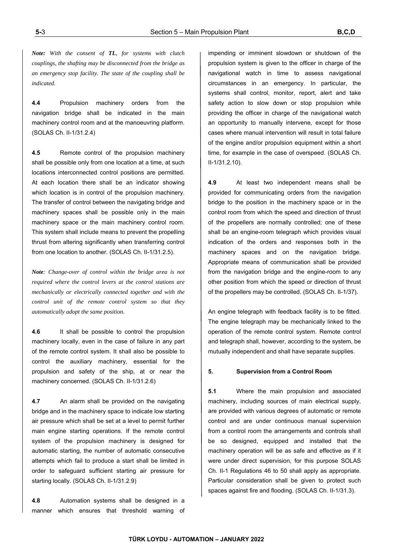*Note: With the consent of TL, for systems with clutch couplings, the shafting may be disconnected from the bridge as an emergency stop facility. The state of the coupling shall be indicated.* 

**4.4** Propulsion machinery orders from the navigation bridge shall be indicated in the main machinery control room and at the manoeuvring platform. (SOLAS Ch. II-1/31.2.4)

**4.5** Remote control of the propulsion machinery shall be possible only from one location at a time, at such locations interconnected control positions are permitted. At each location there shall be an indicator showing which location is in control of the propulsion machinery. The transfer of control between the navigating bridge and machinery spaces shall be possible only in the main machinery space or the main machinery control room. This system shall include means to prevent the propelling thrust from altering significantly when transferring control from one location to another. (SOLAS Ch. II-1/31.2.5).

*Note: Change-over of control within the bridge area is not required where the control levers at the control stations are mechanically or electrically connected together and with the control unit of the remote control system so that they automatically adopt the same position.*

**4.6** It shall be possible to control the propulsion machinery locally, even in the case of failure in any part of the remote control system. It shall also be possible to control the auxiliary machinery, essential for the propulsion and safety of the ship, at or near the machinery concerned. (SOLAS Ch. II-1/31.2.6)

**4.7** An alarm shall be provided on the navigating bridge and in the machinery space to indicate low starting air pressure which shall be set at a level to permit further main engine starting operations. If the remote control system of the propulsion machinery is designed for automatic starting, the number of automatic consecutive attempts which fail to produce a start shall be limited in order to safeguard sufficient starting air pressure for starting locally. (SOLAS Ch. II-1/31.2.9)

**4.8** Automation systems shall be designed in a manner which ensures that threshold warning of impending or imminent slowdown or shutdown of the propulsion system is given to the officer in charge of the navigational watch in time to assess navigational circumstances in an emergency. In particular, the systems shall control, monitor, report, alert and take safety action to slow down or stop propulsion while providing the officer in charge of the navigational watch an opportunity to manually intervene, except for those cases where manual intervention will result in total failure of the engine and/or propulsion equipment within a short time, for example in the case of overspeed. (SOLAS Ch. II-1/31.2.10).

**4.9** At least two independent means shall be provided for communicating orders from the navigation bridge to the position in the machinery space or in the control room from which the speed and direction of thrust of the propellers are normally controlled; one of these shall be an engine-room telegraph which provides visual indication of the orders and responses both in the machinery spaces and on the navigation bridge. Appropriate means of communication shall be provided from the navigation bridge and the engine-room to any other position from which the speed or direction of thrust of the propellers may be controlled. (SOLAS Ch. II-1/37).

An engine telegraph with feedback facility is to be fitted. The engine telegraph may be mechanically linked to the operation of the remote control system. Remote control and telegraph shall, however, according to the system, be mutually independent and shall have separate supplies.

#### **5. Supervision from a Control Room**

**5.1** Where the main propulsion and associated machinery, including sources of main electrical supply, are provided with various degrees of automatic or remote control and are under continuous manual supervision from a control room the arrangements and controls shall be so designed, equipped and installed that the machinery operation will be as safe and effective as if it were under direct supervision, for this purpose SOLAS Ch. II-1 Regulations 46 to 50 shall apply as appropriate. Particular consideration shall be given to protect such spaces against fire and flooding. (SOLAS Ch. II-1/31.3).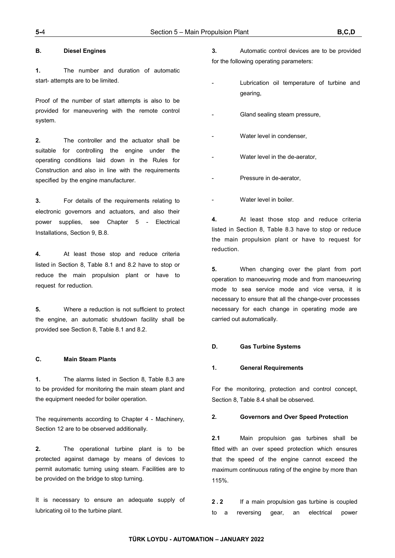### **B. Diesel Engines**

**1.** The number and duration of automatic start- attempts are to be limited.

Proof of the number of start attempts is also to be provided for maneuvering with the remote control system.

**2.** The controller and the actuator shall be suitable for controlling the engine under the operating conditions laid down in the Rules for Construction and also in line with the requirements specified by the engine manufacturer.

**3.** For details of the requirements relating to electronic governors and actuators, and also their power supplies, see Chapter 5 - Electrical Installations, Section 9, B.8.

**4.** At least those stop and reduce criteria listed in Section 8, Table 8.1 and 8.2 have to stop or reduce the main propulsion plant or have to request for reduction.

**5.** Where a reduction is not sufficient to protect the engine, an automatic shutdown facility shall be provided see Section 8, Table 8.1 and 8.2.

### **C. Main Steam Plants**

**1.** The alarms listed in Section 8, Table 8.3 are to be provided for monitoring the main steam plant and the equipment needed for boiler operation.

The requirements according to Chapter 4 - Machinery, Section 12 are to be observed additionally.

**2.** The operational turbine plant is to be protected against damage by means of devices to permit automatic turning using steam. Facilities are to be provided on the bridge to stop turning.

It is necessary to ensure an adequate supply of lubricating oil to the turbine plant.

**3.** Automatic control devices are to be provided for the following operating parameters:

- Lubrication oil temperature of turbine and gearing,
- Gland sealing steam pressure,
- Water level in condenser.
- Water level in the de-aerator,
- Pressure in de-aerator,
- Water level in boiler.

**4.** At least those stop and reduce criteria listed in Section 8, Table 8.3 have to stop or reduce the main propulsion plant or have to request for reduction.

**5.** When changing over the plant from port operation to manoeuvring mode and from manoeuvring mode to sea service mode and vice versa, it is necessary to ensure that all the change-over processes necessary for each change in operating mode are carried out automatically.

### **D. Gas Turbine Systems**

#### **1. General Requirements**

For the monitoring, protection and control concept, Section 8, Table 8.4 shall be observed.

## **2. Governors and Over Speed Protection**

**2.1** Main propulsion gas turbines shall be fitted with an over speed protection which ensures that the speed of the engine cannot exceed the maximum continuous rating of the engine by more than 115%.

**2.2** If a main propulsion gas turbine is coupled to a reversing gear, an electrical power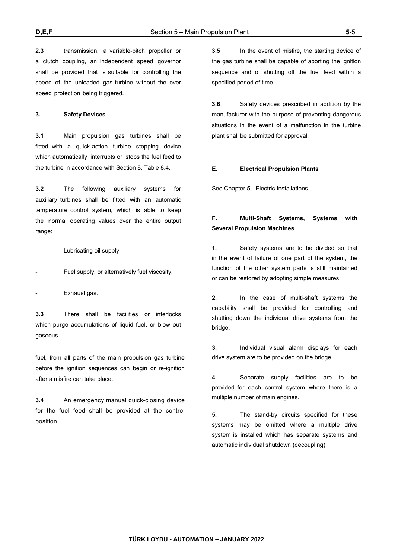**2.3** transmission, a variable-pitch propeller or a clutch coupling, an independent speed governor shall be provided that is suitable for controlling the speed of the unloaded gas turbine without the over speed protection being triggered.

#### **3. Safety Devices**

**3.1** Main propulsion gas turbines shall be fitted with a quick-action turbine stopping device which automatically interrupts or stops the fuel feed to the turbine in accordance with Section 8, Table 8.4.

**3.2** The following auxiliary systems for auxiliary turbines shall be fitted with an automatic temperature control system, which is able to keep the normal operating values over the entire output range:

Lubricating oil supply,

Fuel supply, or alternatively fuel viscosity,

Exhaust gas.

**3.3** There shall be facilities or interlocks which purge accumulations of liquid fuel, or blow out gaseous

fuel, from all parts of the main propulsion gas turbine before the ignition sequences can begin or re-ignition after a misfire can take place.

**3.4** An emergency manual quick-closing device for the fuel feed shall be provided at the control position.

**3.5** In the event of misfire, the starting device of the gas turbine shall be capable of aborting the ignition sequence and of shutting off the fuel feed within a specified period of time.

**3.6** Safety devices prescribed in addition by the manufacturer with the purpose of preventing dangerous situations in the event of a malfunction in the turbine plant shall be submitted for approval.

#### **E. Electrical Propulsion Plants**

See Chapter 5 - Electric Installations.

# **F. Multi-Shaft Systems, Systems with Several Propulsion Machines**

**1.** Safety systems are to be divided so that in the event of failure of one part of the system, the function of the other system parts is still maintained or can be restored by adopting simple measures.

**2.** In the case of multi-shaft systems the capability shall be provided for controlling and shutting down the individual drive systems from the bridge.

**3.** Individual visual alarm displays for each drive system are to be provided on the bridge.

**4.** Separate supply facilities are to be provided for each control system where there is a multiple number of main engines.

**5.** The stand-by circuits specified for these systems may be omitted where a multiple drive system is installed which has separate systems and automatic individual shutdown (decoupling).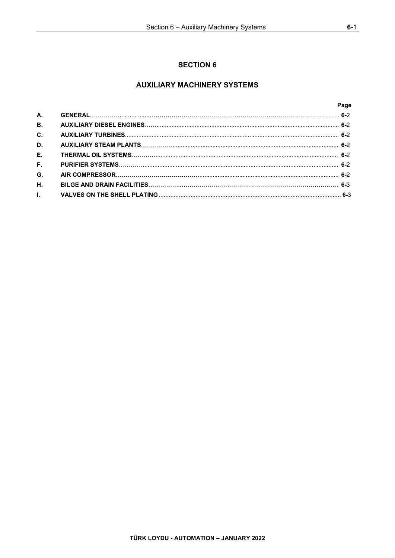# **AUXILIARY MACHINERY SYSTEMS**

|                | Page |
|----------------|------|
| <b>A.</b>      |      |
| <b>B.</b>      |      |
| $\mathbf{C}$ . |      |
| D.             |      |
| E.             |      |
| E.             |      |
| G.             |      |
| Η.             |      |
| $\mathbf{L}$   |      |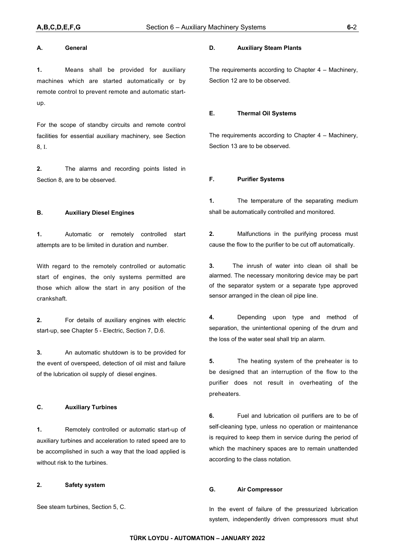#### **A. General**

**1.** Means shall be provided for auxiliary machines which are started automatically or by remote control to prevent remote and automatic startup.

For the scope of standby circuits and remote control facilities for essential auxiliary machinery, see Section 8, I.

**2.** The alarms and recording points listed in Section 8, are to be observed.

#### **B. Auxiliary Diesel Engines**

**1.** Automatic or remotely controlled start attempts are to be limited in duration and number.

With regard to the remotely controlled or automatic start of engines, the only systems permitted are those which allow the start in any position of the crankshaft.

**2.** For details of auxiliary engines with electric start-up, see Chapter 5 - Electric, Section 7, D.6.

**3.** An automatic shutdown is to be provided for the event of overspeed, detection of oil mist and failure of the lubrication oil supply of diesel engines.

### **C. Auxiliary Turbines**

**1.** Remotely controlled or automatic start-up of auxiliary turbines and acceleration to rated speed are to be accomplished in such a way that the load applied is without risk to the turbines.

### **2. Safety system**

See steam turbines, Section 5, C.

#### **D. Auxiliary Steam Plants**

The requirements according to Chapter 4 – Machinery, Section 12 are to be observed.

#### **E. Thermal Oil Systems**

The requirements according to Chapter 4 – Machinery, Section 13 are to be observed.

### **F. Purifier Systems**

**1.** The temperature of the separating medium shall be automatically controlled and monitored.

**2.** Malfunctions in the purifying process must cause the flow to the purifier to be cut off automatically.

**3.** The inrush of water into clean oil shall be alarmed. The necessary monitoring device may be part of the separator system or a separate type approved sensor arranged in the clean oil pipe line.

**4.** Depending upon type and method of separation, the unintentional opening of the drum and the loss of the water seal shall trip an alarm.

**5.** The heating system of the preheater is to be designed that an interruption of the flow to the purifier does not result in overheating of the preheaters.

**6.** Fuel and lubrication oil purifiers are to be of self-cleaning type, unless no operation or maintenance is required to keep them in service during the period of which the machinery spaces are to remain unattended according to the class notation.

### **G. Air Compressor**

In the event of failure of the pressurized lubrication system, independently driven compressors must shut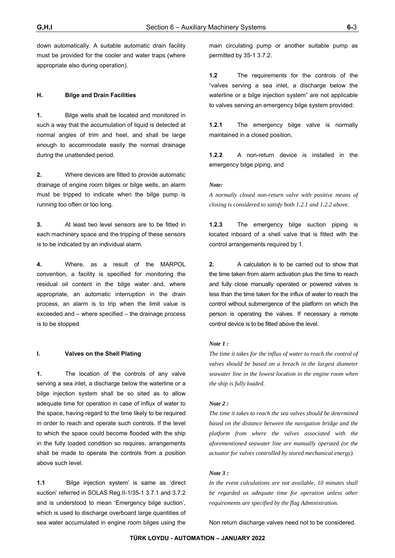down automatically. A suitable automatic drain facility must be provided for the cooler and water traps (where appropriate also during operation).

### **H. Bilge and Drain Facilities**

**1.** Bilge wells shall be located and monitored in such a way that the accumulation of liquid is detected at normal angles of trim and heel, and shall be large enough to accommodate easily the normal drainage during the unattended period.

**2.** Where devices are fitted to provide automatic drainage of engine room bilges or bilge wells, an alarm must be tripped to indicate when the bilge pump is running too often or too long.

**3.** At least two level sensors are to be fitted in each machinery space and the tripping of these sensors is to be indicated by an individual alarm.

**4.** Where, as a result of the MARPOL convention, a facility is specified for monitoring the residual oil content in the bilge water and, where appropriate, an automatic interruption in the drain process, an alarm is to trip when the limit value is exceeded and – where specified – the drainage process is to be stopped.

### **I. Valves on the Shell Plating**

**1.** The location of the controls of any valve serving a sea inlet, a discharge below the waterline or a bilge injection system shall be so sited as to allow adequate time for operation in case of influx of water to the space, having regard to the time likely to be required in order to reach and operate such controls. If the level to which the space could become flooded with the ship in the fully loaded condition so requires, arrangements shall be made to operate the controls from a position above such level.

**1.1** 'Bilge injection system' is same as 'direct suction' referred in SOLAS Reg.II-1/35-1 3.7.1 and 3.7.2 and is understood to mean 'Emergency bilge suction', which is used to discharge overboard large quantities of sea water accumulated in engine room bilges using the

main circulating pump or another suitable pump as permitted by 35-1 3.7.2.

**1.2** The requirements for the controls of the "valves serving a sea inlet, a discharge below the waterline or a bilge injection system" are not applicable to valves serving an emergency bilge system provided:

**1.2.1** The emergency bilge valve is normally maintained in a closed position,

**1.2.2** A non-return device is installed in the emergency bilge piping, and

### *Note:*

*A normally closed non-return valve with positive means of closing is considered to satisfy both 1.2.1 and 1.2.2 above.* 

**1.2.3** The emergency bilge suction piping is located inboard of a shell valve that is fitted with the control arrangements required by 1.

**2.** A calculation is to be carried out to show that the time taken from alarm activation plus the time to reach and fully close manually operated or powered valves is less than the time taken for the influx of water to reach the control without submergence of the platform on which the person is operating the valves. If necessary a remote control device is to be fitted above the level.

#### *Note 1 :*

*The time it takes for the influx of water to reach the control of valves should be based on a breach in the largest diameter seawater line in the lowest location in the engine room when the ship is fully loaded.* 

#### *Note 2 :*

*The time it takes to reach the sea valves should be determined based on the distance between the navigation bridge and the platform from where the valves associated with the aforementioned seawater line are manually operated (or the actuator for valves controlled by stored mechanical energy).* 

#### *Note 3 :*

*In the event calculations are not available, 10 minutes shall be regarded as adequate time for operation unless other requirements are specified by the flag Administration.* 

Non return discharge valves need not to be considered.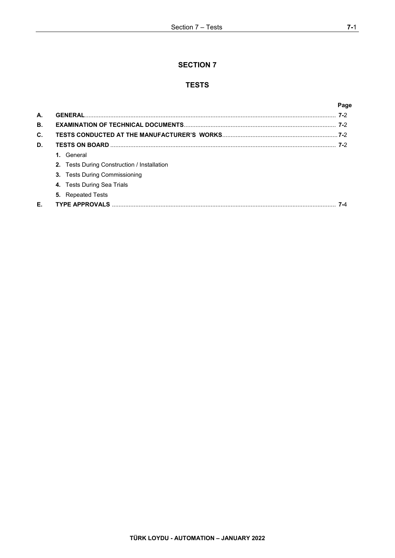# **SECTION 7**

# **TESTS**

|    |                                                    | Page |
|----|----------------------------------------------------|------|
| А. |                                                    |      |
| В. |                                                    |      |
| C. |                                                    |      |
| D. |                                                    |      |
|    | 1. General                                         |      |
|    | <b>2.</b> Tests During Construction / Installation |      |
|    | <b>3.</b> Tests During Commissioning               |      |
|    | 4. Tests During Sea Trials                         |      |
|    | <b>5.</b> Repeated Tests                           |      |
| Е. | <b>TYPE APPROVALS</b>                              |      |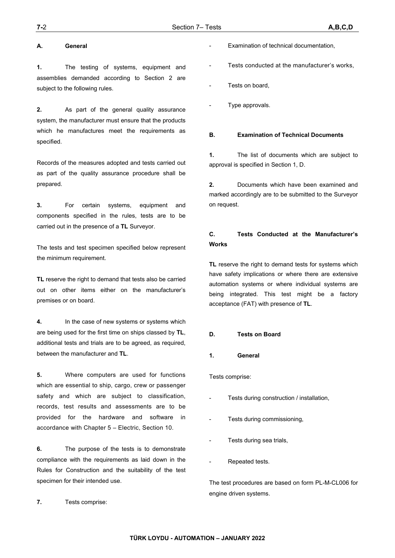### **A. General**

**1.** The testing of systems, equipment and assemblies demanded according to Section 2 are subject to the following rules.

**2.** As part of the general quality assurance system, the manufacturer must ensure that the products which he manufactures meet the requirements as specified.

Records of the measures adopted and tests carried out as part of the quality assurance procedure shall be prepared.

**3.** For certain systems, equipment and components specified in the rules, tests are to be carried out in the presence of a **TL** Surveyor.

The tests and test specimen specified below represent the minimum requirement.

**TL** reserve the right to demand that tests also be carried out on other items either on the manufacturer's premises or on board.

**4.** In the case of new systems or systems which are being used for the first time on ships classed by **TL**, additional tests and trials are to be agreed, as required, between the manufacturer and **TL**.

**5.** Where computers are used for functions which are essential to ship, cargo, crew or passenger safety and which are subiect to classification. records, test results and assessments are to be provided for the hardware and software in accordance with Chapter 5 – Electric, Section 10.

**6.** The purpose of the tests is to demonstrate compliance with the requirements as laid down in the Rules for Construction and the suitability of the test specimen for their intended use.

**7.** Tests comprise:

- Examination of technical documentation,
- Tests conducted at the manufacturer's works,
- Tests on board.
- Type approvals.

### **B. Examination of Technical Documents**

**1.** The list of documents which are subject to approval is specified in Section 1, D.

**2.** Documents which have been examined and marked accordingly are to be submitted to the Surveyor on request.

# **C. Tests Conducted at the Manufacturer's Works**

**TL** reserve the right to demand tests for systems which have safety implications or where there are extensive automation systems or where individual systems are being integrated. This test might be a factory acceptance (FAT) with presence of **TL**.

#### **D. Tests on Board**

### **1. General**

Tests comprise:

- Tests during construction / installation,
- Tests during commissioning,
- Tests during sea trials,
- Repeated tests.

The test procedures are based on form PL-M-CL006 for engine driven systems.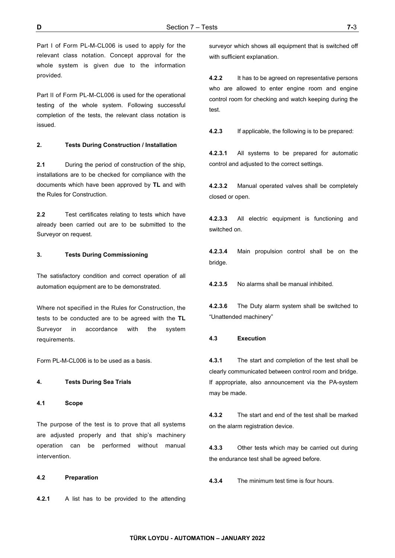Part I of Form PL-M-CL006 is used to apply for the relevant class notation. Concept approval for the whole system is given due to the information provided.

Part II of Form PL-M-CL006 is used for the operational testing of the whole system. Following successful completion of the tests, the relevant class notation is issued.

### **2. Tests During Construction / Installation**

**2.1** During the period of construction of the ship, installations are to be checked for compliance with the documents which have been approved by **TL** and with the Rules for Construction.

**2.2** Test certificates relating to tests which have already been carried out are to be submitted to the Surveyor on request.

#### **3. Tests During Commissioning**

The satisfactory condition and correct operation of all automation equipment are to be demonstrated.

Where not specified in the Rules for Construction, the tests to be conducted are to be agreed with the **TL** Surveyor in accordance with the system requirements.

Form PL-M-CL006 is to be used as a basis.

#### **4. Tests During Sea Trials**

#### **4.1 Scope**

The purpose of the test is to prove that all systems are adjusted properly and that ship's machinery operation can be performed without manual intervention.

### **4.2 Preparation**

**4.2.1** A list has to be provided to the attending

surveyor which shows all equipment that is switched off with sufficient explanation.

**4.2.2** It has to be agreed on representative persons who are allowed to enter engine room and engine control room for checking and watch keeping during the test.

**4.2.3** If applicable, the following is to be prepared:

**4.2.3.1** All systems to be prepared for automatic control and adjusted to the correct settings.

**4.2.3.2** Manual operated valves shall be completely closed or open.

**4.2.3.3** All electric equipment is functioning and switched on.

**4.2.3.4** Main propulsion control shall be on the bridge.

**4.2.3.5** No alarms shall be manual inhibited.

**4.2.3.6** The Duty alarm system shall be switched to "Unattended machinery"

#### **4.3 Execution**

**4.3.1** The start and completion of the test shall be clearly communicated between control room and bridge. If appropriate, also announcement via the PA-system may be made.

**4.3.2** The start and end of the test shall be marked on the alarm registration device.

**4.3.3** Other tests which may be carried out during the endurance test shall be agreed before.

**4.3.4** The minimum test time is four hours.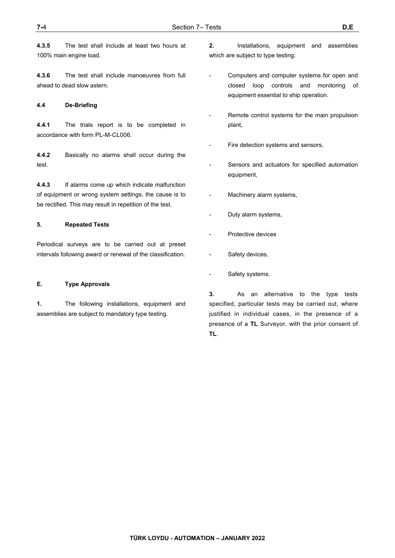**4.3.5** The test shall include at least two hours at 100% main engine load.

**4.3.6** The test shall include manoeuvres from full ahead to dead slow astern.

### **4.4 De-Briefing**

**4.4.1** The trials report is to be completed in accordance with form PL-M-CL006.

**4.4.2** Basically no alarms shall occur during the test.

**4.4.3** If alarms come up which indicate malfunction of equipment or wrong system settings, the cause is to be rectified. This may result in repetition of the test.

#### **5. Repeated Tests**

Periodical surveys are to be carried out at preset intervals following award or renewal of the classification.

#### **E. Type Approvals**

**1.** The following installations, equipment and assemblies are subject to mandatory type testing.

- **2.** Installations, equipment and assemblies which are subject to type testing:
- Computers and computer systems for open and closed loop controls and monitoring of equipment essential to ship operation.
- Remote control systems for the main propulsion plant,
- Fire detection systems and sensors,
- Sensors and actuators for specified automation equipment,
- Machinery alarm systems,
- Duty alarm systems,
- Protective devices
- Safety devices,
- Safety systems.

**3.** As an alternative to the type tests specified, particular tests may be carried out, where justified in individual cases, in the presence of a presence of a **TL** Surveyor, with the prior consent of **TL**.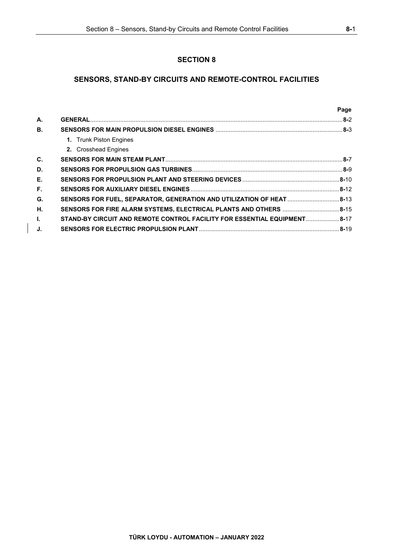# **SECTION 8**

# **SENSORS, STAND-BY CIRCUITS AND REMOTE-CONTROL FACILITIES**

|                |                                                                           | Page |
|----------------|---------------------------------------------------------------------------|------|
| A.             |                                                                           |      |
| <b>B.</b>      |                                                                           |      |
|                | 1. Trunk Piston Engines                                                   |      |
|                | 2. Crosshead Engines                                                      |      |
| $\mathbf{C}$ . |                                                                           |      |
| D.             |                                                                           |      |
| Е.             |                                                                           |      |
| F.             |                                                                           |      |
| G.             | SENSORS FOR FUEL, SEPARATOR, GENERATION AND UTILIZATION OF HEAT 8-13      |      |
| Н.             | SENSORS FOR FIRE ALARM SYSTEMS, ELECTRICAL PLANTS AND OTHERS 8-15         |      |
| $\mathbf{L}$   | STAND-BY CIRCUIT AND REMOTE CONTROL FACILITY FOR ESSENTIAL EQUIPMENT 8-17 |      |
| J.             |                                                                           |      |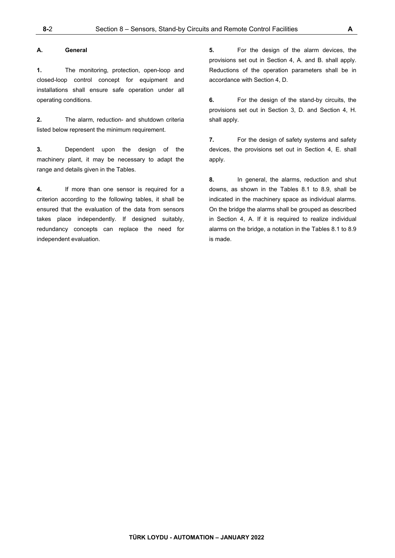#### **A. General**

**1.** The monitoring, protection, open-loop and closed-loop control concept for equipment and installations shall ensure safe operation under all operating conditions.

**2.** The alarm, reduction- and shutdown criteria listed below represent the minimum requirement.

**3.** Dependent upon the design of the machinery plant, it may be necessary to adapt the range and details given in the Tables.

**4.** If more than one sensor is required for a criterion according to the following tables, it shall be ensured that the evaluation of the data from sensors takes place independently. If designed suitably, redundancy concepts can replace the need for independent evaluation.

**5.** For the design of the alarm devices, the provisions set out in Section 4, A. and B. shall apply. Reductions of the operation parameters shall be in accordance with Section 4, D.

**6.** For the design of the stand-by circuits, the provisions set out in Section 3, D. and Section 4, H. shall apply.

**7.** For the design of safety systems and safety devices, the provisions set out in Section 4, E. shall apply.

**8.** In general, the alarms, reduction and shut downs, as shown in the Tables 8.1 to 8.9, shall be indicated in the machinery space as individual alarms. On the bridge the alarms shall be grouped as described in Section 4, A. If it is required to realize individual alarms on the bridge, a notation in the Tables 8.1 to 8.9 is made.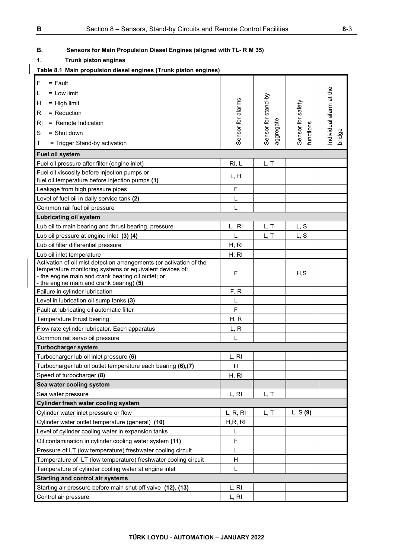# **B. Sensors for Main Propulsion Diesel Engines (aligned with TL- R M 35)**

**1. Trunk piston engines** 

# **Table 8.1 Main propulsion diesel engines (Trunk piston engines)**

| $\overline{F}$<br>$=$ Fault                                                                      |                   |                     |                   |                         |
|--------------------------------------------------------------------------------------------------|-------------------|---------------------|-------------------|-------------------------|
| L<br>$=$ Low limit                                                                               |                   |                     |                   |                         |
| Η<br>$=$ High limit                                                                              |                   |                     |                   |                         |
| R<br>$=$ Reduction                                                                               | Sensor for alarms | Sensor for stand-by | Sensor for safety | Individual alarm at the |
| R <sub>l</sub><br>= Remote Indication                                                            |                   |                     |                   |                         |
| S<br>$=$ Shut down                                                                               |                   |                     |                   |                         |
|                                                                                                  |                   | aggregate           | functions         | bridge                  |
| Τ<br>= Trigger Stand-by activation                                                               |                   |                     |                   |                         |
| Fuel oil system                                                                                  |                   |                     |                   |                         |
| Fuel oil pressure after filter (engine inlet)                                                    | RI, L             | L, T                |                   |                         |
| Fuel oil viscosity before injection pumps or<br>fuel oil temperature before injection pumps (1)  | L, H              |                     |                   |                         |
| Leakage from high pressure pipes                                                                 | F                 |                     |                   |                         |
| Level of fuel oil in daily service tank (2)                                                      | L                 |                     |                   |                         |
| Common rail fuel oil pressure                                                                    | L                 |                     |                   |                         |
| <b>Lubricating oil system</b>                                                                    |                   |                     |                   |                         |
| Lub oil to main bearing and thrust bearing, pressure                                             | L, RI             | L, T                | L, S              |                         |
| Lub oil pressure at engine inlet (3) (4)                                                         | L                 | L, T                | L, S              |                         |
| Lub oil filter differential pressure                                                             | H, RI             |                     |                   |                         |
|                                                                                                  | H, RI             |                     |                   |                         |
| Lub oil inlet temperature<br>Activation of oil mist detection arrangements (or activation of the |                   |                     |                   |                         |
| temperature monitoring systems or equivalent devices of:                                         | $\mathsf F$       |                     |                   |                         |
| - the engine main and crank bearing oil outlet; or                                               |                   |                     | H, S              |                         |
| - the engine main and crank bearing) (5)                                                         | F, R              |                     |                   |                         |
| Failure in cylinder lubrication<br>Level in lubrication oil sump tanks (3)                       | L                 |                     |                   |                         |
| Fault at lubricating oil automatic filter                                                        | F                 |                     |                   |                         |
| Temperature thrust bearing                                                                       | H, R              |                     |                   |                         |
|                                                                                                  |                   |                     |                   |                         |
| Flow rate cylinder lubricator. Each apparatus                                                    | L, R              |                     |                   |                         |
| Common rail servo oil pressure                                                                   | L                 |                     |                   |                         |
| <b>Turbocharger system</b>                                                                       |                   |                     |                   |                         |
| Turbocharger lub oil inlet pressure (6)                                                          | L, RI             |                     |                   |                         |
| Turbocharger lub oil outlet temperature each bearing (6),(7)                                     | H                 |                     |                   |                         |
| Speed of turbocharger (8)                                                                        | H, RI             |                     |                   |                         |
| Sea water cooling system                                                                         |                   |                     |                   |                         |
| Sea water pressure                                                                               | L, RI             | L, T                |                   |                         |
| <b>Cylinder fresh water cooling system</b>                                                       |                   |                     |                   |                         |
| Cylinder water inlet pressure or flow                                                            | L, R, R           | L, T                | L, S(9)           |                         |
| Cylinder water outlet temperature (general) (10)                                                 | H,R, RI           |                     |                   |                         |
| Level of cylinder cooling water in expansion tanks                                               | L                 |                     |                   |                         |
| Oil contamination in cylinder cooling water system (11)                                          | F                 |                     |                   |                         |
| Pressure of LT (low temperature) freshwater cooling circuit                                      | L                 |                     |                   |                         |
| Temperature of LT (low temperature) freshwater cooling circuit                                   | Н                 |                     |                   |                         |
| Temperature of cylinder cooling water at engine inlet                                            | L                 |                     |                   |                         |
| <b>Starting and control air systems</b>                                                          |                   |                     |                   |                         |
| Starting air pressure before main shut-off valve (12), (13)                                      | L, RI             |                     |                   |                         |
| Control air pressure                                                                             | L, RI             |                     |                   |                         |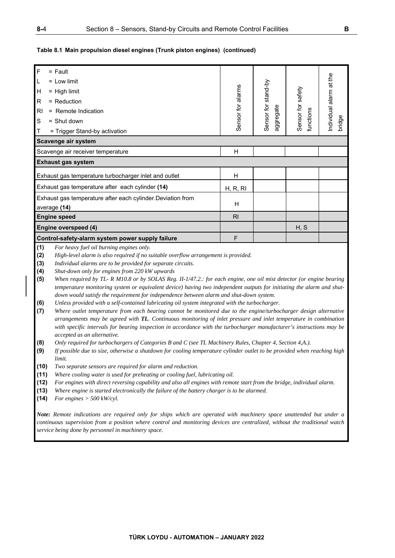### **Table 8.1 Main propulsion diesel engines (Trunk piston engines) (continued)**

| $\mathsf{F}$   | $=$ Fault                                                   |                   |                     |                                |                         |
|----------------|-------------------------------------------------------------|-------------------|---------------------|--------------------------------|-------------------------|
| L              | $=$ 1 ow limit                                              |                   |                     |                                | Individual alarm at the |
| H              | $=$ High limit                                              | Sensor for alarms | Sensor for stand-by |                                |                         |
| R              | $=$ Reduction                                               |                   |                     |                                |                         |
| R <sub>l</sub> | $=$ Remote Indication                                       |                   |                     |                                |                         |
| S              | $=$ Shut down                                               |                   | ggregate            | Sensor for safety<br>functions | bridge                  |
| Τ              | = Trigger Stand-by activation                               |                   | $\bar{\sigma}$      |                                |                         |
|                | Scavenge air system                                         |                   |                     |                                |                         |
|                | Scavenge air receiver temperature                           | н                 |                     |                                |                         |
|                | <b>Exhaust gas system</b>                                   |                   |                     |                                |                         |
|                | Exhaust gas temperature turbocharger inlet and outlet       | H                 |                     |                                |                         |
|                | Exhaust gas temperature after each cylinder (14)            | H, R, RI          |                     |                                |                         |
|                | Exhaust gas temperature after each cylinder. Deviation from |                   |                     |                                |                         |
|                | average (14)                                                | H                 |                     |                                |                         |
|                | <b>Engine speed</b>                                         | R <sub>l</sub>    |                     |                                |                         |
|                | Engine overspeed (4)                                        |                   |                     | H, S                           |                         |
|                | Control-safety-alarm system power supply failure            | F                 |                     |                                |                         |
|                |                                                             |                   |                     |                                |                         |

**(1)** *For heavy fuel oil burning engines only.* 

**(2)** *High-level alarm is also required if no suitable overflow arrangement is provided.* 

**(3)** *Individual alarms are to be provided for separate circuits.* 

**(4)** *Shut-down only for engines from 220 kW upwards* 

**(5)** *When required by TL- R M10.8 or by SOLAS Reg. II-1/47.2.: for each engine, one oil mist detector (or engine bearing temperature monitoring system or equivalent device) having two independent outputs for initiating the alarm and shutdown would satisfy the requirement for independence between alarm and shut-down system.* 

**(6)** *Unless provided with a self-contained lubricating oil system integrated with the turbocharger.* 

**(7)** *Where outlet temperature from each bearing cannot be monitored due to the engine/turbocharger design alternative arrangements may be agreed with TL. Continuous monitoring of inlet pressure and inlet temperature in combination with specific intervals for bearing inspection in accordance with the turbocharger manufacturer's instructions may be accepted as an alternative.* 

- **(8)** *Only required for turbochargers of Categories B and C (see TL Machinery Rules, Chapter 4, Section 4,A.).*
- **(9)** *If possible due to size, otherwise a shutdown for cooling temperature cylinder outlet to be provided when reaching high limit.*
- **(10)** *Two separate sensors are required for alarm and reduction.*
- **(11)** *Where cooling water is used for preheating or cooling fuel, lubricating oil.*
- **(12)** *For engines with direct reversing capability and also all engines with remote start from the bridge, individual alarm.*
- **(13)** *Where engine is started electronically the failure of the battery charger is to be alarmed.*
- **(14)** *For engines > 500 kW/cyl.*

*Note: Remote indications are required only for ships which are operated with machinery space unattended but under a continuous supervision from a position where control and monitoring devices are centralized, without the traditional watch service being done by personnel in machinery space.*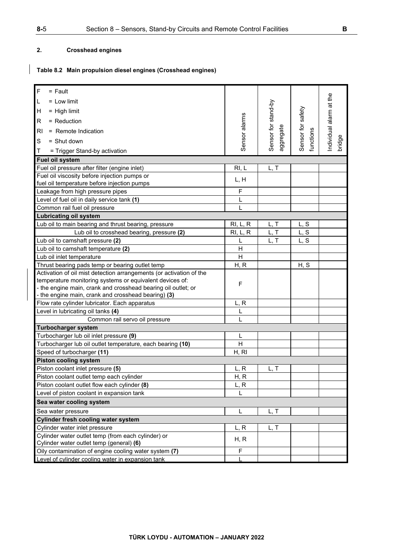# **2. Crosshead engines**

# **Table 8.2 Main propulsion diesel engines (Crosshead engines)**

| $\mathsf F$<br>$=$ Fault                                            |               |                                  |                   |                         |
|---------------------------------------------------------------------|---------------|----------------------------------|-------------------|-------------------------|
| L<br>$=$ Low limit                                                  |               |                                  |                   |                         |
| н<br>$=$ High limit                                                 |               |                                  |                   |                         |
| R<br>$=$ Reduction                                                  |               |                                  |                   |                         |
| R <sub>l</sub><br>= Remote Indication                               | Sensor alarms | Sensor for stand-by<br>aggregate | Sensor for safety | Individual alarm at the |
| S<br>$=$ Shut down                                                  |               |                                  | functions         | bridge                  |
| Т<br>= Trigger Stand-by activation                                  |               |                                  |                   |                         |
| Fuel oil system                                                     |               |                                  |                   |                         |
| Fuel oil pressure after filter (engine inlet)                       | RI, L         | L, T                             |                   |                         |
| Fuel oil viscosity before injection pumps or                        |               |                                  |                   |                         |
| fuel oil temperature before injection pumps                         | L, H          |                                  |                   |                         |
| Leakage from high pressure pipes                                    | F             |                                  |                   |                         |
| Level of fuel oil in daily service tank (1)                         | L             |                                  |                   |                         |
| Common rail fuel oil pressure                                       | L             |                                  |                   |                         |
| <b>Lubricating oil system</b>                                       |               |                                  |                   |                         |
|                                                                     |               |                                  |                   |                         |
| Lub oil to main bearing and thrust bearing, pressure                | RI, L, R      | L, T                             | L, S              |                         |
| Lub oil to crosshead bearing, pressure (2)                          | RI, L, R      | L, T                             | L, S              |                         |
| Lub oil to camshaft pressure (2)                                    | L             | L, T                             | L, S              |                         |
| Lub oil to camshaft temperature (2)                                 | H             |                                  |                   |                         |
| Lub oil inlet temperature                                           | H             |                                  |                   |                         |
| Thrust bearing pads temp or bearing outlet temp                     | H, R          |                                  | H, S              |                         |
| Activation of oil mist detection arrangements (or activation of the |               |                                  |                   |                         |
| temperature monitoring systems or equivalent devices of:            | F             |                                  |                   |                         |
| - the engine main, crank and crosshead bearing oil outlet; or       |               |                                  |                   |                         |
| - the engine main, crank and crosshead bearing) (3)                 |               |                                  |                   |                         |
| Flow rate cylinder lubricator. Each apparatus                       | L, R          |                                  |                   |                         |
| Level in lubricating oil tanks (4)                                  | L             |                                  |                   |                         |
| Common rail servo oil pressure                                      | L             |                                  |                   |                         |
| <b>Turbocharger system</b>                                          |               |                                  |                   |                         |
| Turbocharger lub oil inlet pressure (9)                             | L             |                                  |                   |                         |
| Turbocharger lub oil outlet temperature, each bearing (10)          | H             |                                  |                   |                         |
| Speed of turbocharger (11)                                          | H, RI         |                                  |                   |                         |
| <b>Piston cooling system</b>                                        |               |                                  |                   |                         |
| Piston coolant inlet pressure (5)                                   | L, R          | L, T                             |                   |                         |
| Piston coolant outlet temp each cylinder                            | H, R          |                                  |                   |                         |
| Piston coolant outlet flow each cylinder (8)                        | L, R          |                                  |                   |                         |
| Level of piston coolant in expansion tank                           |               |                                  |                   |                         |
| Sea water cooling system                                            |               |                                  |                   |                         |
| Sea water pressure                                                  | L             | L, T                             |                   |                         |
| <b>Cylinder fresh cooling water system</b>                          |               |                                  |                   |                         |
| Cylinder water inlet pressure                                       | L, R          | L, T                             |                   |                         |
| Cylinder water outlet temp (from each cylinder) or                  |               |                                  |                   |                         |
| Cylinder water outlet temp (general) (6)                            | H, R          |                                  |                   |                         |
| Oily contamination of engine cooling water system (7)               | F             |                                  |                   |                         |
| Level of cylinder cooling water in expansion tank                   |               |                                  |                   |                         |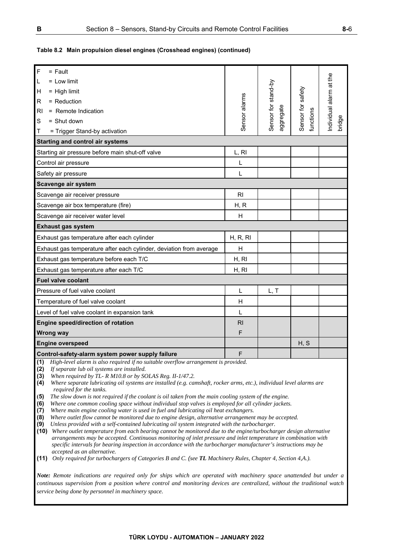# **Table 8.2 Main propulsion diesel engines (Crosshead engines) (continued)**

| $\overline{F}$<br>$=$ Fault                                                                                                                                                                                                                                                                                                                                                                                                                                                                                                                                                                                                                                                                                                                                                                                                                                                                                                                                                                                                                                                                                                                                                                                                                                                                                                     |                |                                  |                   |                        |
|---------------------------------------------------------------------------------------------------------------------------------------------------------------------------------------------------------------------------------------------------------------------------------------------------------------------------------------------------------------------------------------------------------------------------------------------------------------------------------------------------------------------------------------------------------------------------------------------------------------------------------------------------------------------------------------------------------------------------------------------------------------------------------------------------------------------------------------------------------------------------------------------------------------------------------------------------------------------------------------------------------------------------------------------------------------------------------------------------------------------------------------------------------------------------------------------------------------------------------------------------------------------------------------------------------------------------------|----------------|----------------------------------|-------------------|------------------------|
| L<br>$=$ Low limit                                                                                                                                                                                                                                                                                                                                                                                                                                                                                                                                                                                                                                                                                                                                                                                                                                                                                                                                                                                                                                                                                                                                                                                                                                                                                                              |                |                                  |                   |                        |
| $=$ High limit<br>н                                                                                                                                                                                                                                                                                                                                                                                                                                                                                                                                                                                                                                                                                                                                                                                                                                                                                                                                                                                                                                                                                                                                                                                                                                                                                                             |                |                                  |                   |                        |
| = Reduction<br>R                                                                                                                                                                                                                                                                                                                                                                                                                                                                                                                                                                                                                                                                                                                                                                                                                                                                                                                                                                                                                                                                                                                                                                                                                                                                                                                |                |                                  |                   |                        |
| = Remote Indication<br>RI                                                                                                                                                                                                                                                                                                                                                                                                                                                                                                                                                                                                                                                                                                                                                                                                                                                                                                                                                                                                                                                                                                                                                                                                                                                                                                       | Sensor alarms  | Sensor for stand-by<br>aggregate | Sensor for safety | ndividual alarm at the |
| S<br>$=$ Shut down                                                                                                                                                                                                                                                                                                                                                                                                                                                                                                                                                                                                                                                                                                                                                                                                                                                                                                                                                                                                                                                                                                                                                                                                                                                                                                              |                |                                  | functions         | bridge                 |
| = Trigger Stand-by activation<br>Т                                                                                                                                                                                                                                                                                                                                                                                                                                                                                                                                                                                                                                                                                                                                                                                                                                                                                                                                                                                                                                                                                                                                                                                                                                                                                              |                |                                  |                   |                        |
| <b>Starting and control air systems</b>                                                                                                                                                                                                                                                                                                                                                                                                                                                                                                                                                                                                                                                                                                                                                                                                                                                                                                                                                                                                                                                                                                                                                                                                                                                                                         |                |                                  |                   |                        |
| Starting air pressure before main shut-off valve                                                                                                                                                                                                                                                                                                                                                                                                                                                                                                                                                                                                                                                                                                                                                                                                                                                                                                                                                                                                                                                                                                                                                                                                                                                                                | L, RI          |                                  |                   |                        |
| Control air pressure                                                                                                                                                                                                                                                                                                                                                                                                                                                                                                                                                                                                                                                                                                                                                                                                                                                                                                                                                                                                                                                                                                                                                                                                                                                                                                            | L              |                                  |                   |                        |
| Safety air pressure                                                                                                                                                                                                                                                                                                                                                                                                                                                                                                                                                                                                                                                                                                                                                                                                                                                                                                                                                                                                                                                                                                                                                                                                                                                                                                             | L              |                                  |                   |                        |
| Scavenge air system                                                                                                                                                                                                                                                                                                                                                                                                                                                                                                                                                                                                                                                                                                                                                                                                                                                                                                                                                                                                                                                                                                                                                                                                                                                                                                             |                |                                  |                   |                        |
| Scavenge air receiver pressure                                                                                                                                                                                                                                                                                                                                                                                                                                                                                                                                                                                                                                                                                                                                                                                                                                                                                                                                                                                                                                                                                                                                                                                                                                                                                                  | R <sub>l</sub> |                                  |                   |                        |
| Scavenge air box temperature (fire)                                                                                                                                                                                                                                                                                                                                                                                                                                                                                                                                                                                                                                                                                                                                                                                                                                                                                                                                                                                                                                                                                                                                                                                                                                                                                             | H, R           |                                  |                   |                        |
| Scavenge air receiver water level                                                                                                                                                                                                                                                                                                                                                                                                                                                                                                                                                                                                                                                                                                                                                                                                                                                                                                                                                                                                                                                                                                                                                                                                                                                                                               | H              |                                  |                   |                        |
| <b>Exhaust gas system</b>                                                                                                                                                                                                                                                                                                                                                                                                                                                                                                                                                                                                                                                                                                                                                                                                                                                                                                                                                                                                                                                                                                                                                                                                                                                                                                       |                |                                  |                   |                        |
| Exhaust gas temperature after each cylinder                                                                                                                                                                                                                                                                                                                                                                                                                                                                                                                                                                                                                                                                                                                                                                                                                                                                                                                                                                                                                                                                                                                                                                                                                                                                                     | H, R, RI       |                                  |                   |                        |
| Exhaust gas temperature after each cylinder, deviation from average                                                                                                                                                                                                                                                                                                                                                                                                                                                                                                                                                                                                                                                                                                                                                                                                                                                                                                                                                                                                                                                                                                                                                                                                                                                             | H              |                                  |                   |                        |
| Exhaust gas temperature before each T/C                                                                                                                                                                                                                                                                                                                                                                                                                                                                                                                                                                                                                                                                                                                                                                                                                                                                                                                                                                                                                                                                                                                                                                                                                                                                                         | H, RI          |                                  |                   |                        |
| Exhaust gas temperature after each T/C                                                                                                                                                                                                                                                                                                                                                                                                                                                                                                                                                                                                                                                                                                                                                                                                                                                                                                                                                                                                                                                                                                                                                                                                                                                                                          | H, RI          |                                  |                   |                        |
| <b>Fuel valve coolant</b>                                                                                                                                                                                                                                                                                                                                                                                                                                                                                                                                                                                                                                                                                                                                                                                                                                                                                                                                                                                                                                                                                                                                                                                                                                                                                                       |                |                                  |                   |                        |
| Pressure of fuel valve coolant                                                                                                                                                                                                                                                                                                                                                                                                                                                                                                                                                                                                                                                                                                                                                                                                                                                                                                                                                                                                                                                                                                                                                                                                                                                                                                  | L              | L, T                             |                   |                        |
| Temperature of fuel valve coolant                                                                                                                                                                                                                                                                                                                                                                                                                                                                                                                                                                                                                                                                                                                                                                                                                                                                                                                                                                                                                                                                                                                                                                                                                                                                                               | H              |                                  |                   |                        |
| Level of fuel valve coolant in expansion tank                                                                                                                                                                                                                                                                                                                                                                                                                                                                                                                                                                                                                                                                                                                                                                                                                                                                                                                                                                                                                                                                                                                                                                                                                                                                                   | L              |                                  |                   |                        |
| Engine speed/direction of rotation                                                                                                                                                                                                                                                                                                                                                                                                                                                                                                                                                                                                                                                                                                                                                                                                                                                                                                                                                                                                                                                                                                                                                                                                                                                                                              | R <sub>l</sub> |                                  |                   |                        |
| <b>Wrong way</b>                                                                                                                                                                                                                                                                                                                                                                                                                                                                                                                                                                                                                                                                                                                                                                                                                                                                                                                                                                                                                                                                                                                                                                                                                                                                                                                | F              |                                  |                   |                        |
| <b>Engine overspeed</b>                                                                                                                                                                                                                                                                                                                                                                                                                                                                                                                                                                                                                                                                                                                                                                                                                                                                                                                                                                                                                                                                                                                                                                                                                                                                                                         |                |                                  | H, S              |                        |
| Control-safety-alarm system power supply failure                                                                                                                                                                                                                                                                                                                                                                                                                                                                                                                                                                                                                                                                                                                                                                                                                                                                                                                                                                                                                                                                                                                                                                                                                                                                                | F              |                                  |                   |                        |
| High-level alarm is also required if no suitable overflow arrangement is provided.<br>(1)<br>(2)<br>If separate lub oil systems are installed.<br>(3)<br>When required by TL- R M10.8 or by SOLAS Reg. II-1/47.2.<br>(4)<br>Where separate lubricating oil systems are installed (e.g. camshaft, rocker arms, etc.), individual level alarms are<br>required for the tanks.<br>The slow down is not required if the coolant is oil taken from the main cooling system of the engine.<br>(5)<br>(6)<br>Where one common cooling space without individual stop valves is employed for all cylinder jackets.<br>(7)<br>Where main engine cooling water is used in fuel and lubricating oil heat exchangers.<br>Where outlet flow cannot be monitored due to engine design, alternative arrangement may be accepted.<br>(8)<br>Unless provided with a self-contained lubricating oil system integrated with the turbocharger.<br>(9)<br>(10) Where outlet temperature from each bearing cannot be monitored due to the engine/turbocharger design alternative<br>arrangements may be accepted. Continuous monitoring of inlet pressure and inlet temperature in combination with<br>specific intervals for bearing inspection in accordance with the turbocharger manufacturer's instructions may be<br>accepted as an alternative. |                |                                  |                   |                        |

**(11)** *Only required for turbochargers of Categories B and C. (see TL Machinery Rules, Chapter 4, Section 4,A.).*

*Note: Remote indications are required only for ships which are operated with machinery space unattended but under a continuous supervision from a position where control and monitoring devices are centralized, without the traditional watch service being done by personnel in machinery space.*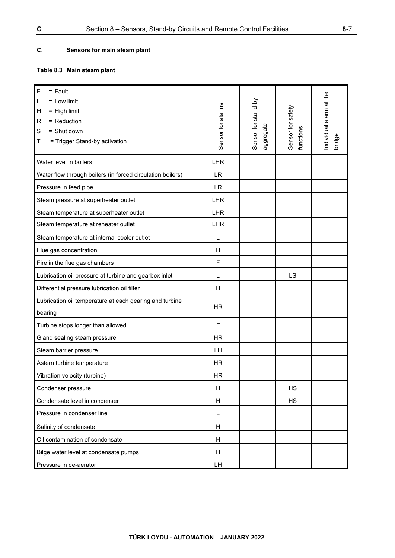# **C. Sensors for main steam plant**

# **Table 8.3 Main steam plant**

| $\mathsf F$<br>$=$ Fault<br>$=$ Low limit<br>L<br>Н<br>$=$ High limit<br>= Reduction<br>R<br>S<br>= Shut down<br>Τ<br>= Trigger Stand-by activation | Sensor for alarms | Sensor for stand-by<br>aggregate | Sensor for safety<br>functions | Individual alarm at the<br>bridge |
|-----------------------------------------------------------------------------------------------------------------------------------------------------|-------------------|----------------------------------|--------------------------------|-----------------------------------|
| Water level in boilers                                                                                                                              | LHR               |                                  |                                |                                   |
| Water flow through boilers (in forced circulation boilers)                                                                                          | <b>LR</b>         |                                  |                                |                                   |
| Pressure in feed pipe                                                                                                                               | <b>LR</b>         |                                  |                                |                                   |
| Steam pressure at superheater outlet                                                                                                                | LHR               |                                  |                                |                                   |
| Steam temperature at superheater outlet                                                                                                             | LHR               |                                  |                                |                                   |
| Steam temperature at reheater outlet                                                                                                                | <b>LHR</b>        |                                  |                                |                                   |
| Steam temperature at internal cooler outlet                                                                                                         | L                 |                                  |                                |                                   |
| Flue gas concentration                                                                                                                              | H                 |                                  |                                |                                   |
| Fire in the flue gas chambers                                                                                                                       | F                 |                                  |                                |                                   |
| Lubrication oil pressure at turbine and gearbox inlet                                                                                               | L                 |                                  | LS                             |                                   |
| Differential pressure lubrication oil filter                                                                                                        | H                 |                                  |                                |                                   |
| Lubrication oil temperature at each gearing and turbine<br>bearing                                                                                  | <b>HR</b>         |                                  |                                |                                   |
| Turbine stops longer than allowed                                                                                                                   | F                 |                                  |                                |                                   |
| Gland sealing steam pressure                                                                                                                        | <b>HR</b>         |                                  |                                |                                   |
| Steam barrier pressure                                                                                                                              | LH                |                                  |                                |                                   |
| Astern turbine temperature                                                                                                                          | <b>HR</b>         |                                  |                                |                                   |
| Vibration velocity (turbine)                                                                                                                        | <b>HR</b>         |                                  |                                |                                   |
| Condenser pressure                                                                                                                                  | H                 |                                  | <b>HS</b>                      |                                   |
| Condensate level in condenser                                                                                                                       | H                 |                                  | <b>HS</b>                      |                                   |
| Pressure in condenser line                                                                                                                          | Г                 |                                  |                                |                                   |
| Salinity of condensate                                                                                                                              | H                 |                                  |                                |                                   |
| Oil contamination of condensate                                                                                                                     | H                 |                                  |                                |                                   |
| Bilge water level at condensate pumps                                                                                                               | H                 |                                  |                                |                                   |
| Pressure in de-aerator                                                                                                                              | LH                |                                  |                                |                                   |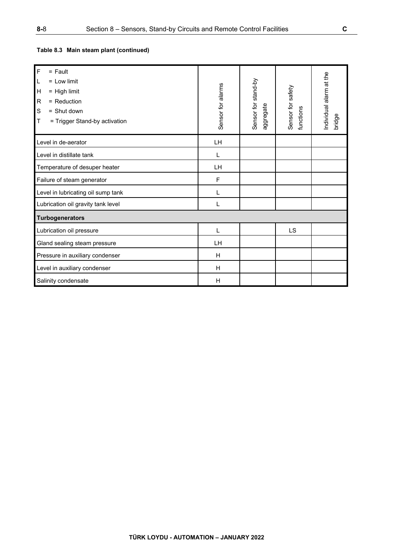| $\overline{F}$<br>$=$ Fault<br>L<br>$=$ Low limit<br>$\mathsf{H}$<br>$=$ High limit<br>$\mathsf{R}$<br>$=$ Reduction<br>$\mathbb S$<br>$=$ Shut down<br>T<br>= Trigger Stand-by activation | Sensor for alarms | Sensor for stand-by<br>aggregate | Sensor for safety<br>functions | Individual alarm at the<br>bridge |
|--------------------------------------------------------------------------------------------------------------------------------------------------------------------------------------------|-------------------|----------------------------------|--------------------------------|-----------------------------------|
| Level in de-aerator                                                                                                                                                                        | LH                |                                  |                                |                                   |
| Level in distillate tank                                                                                                                                                                   | $\mathbf{I}$      |                                  |                                |                                   |
| Temperature of desuper heater                                                                                                                                                              | LH                |                                  |                                |                                   |
| Failure of steam generator                                                                                                                                                                 | F                 |                                  |                                |                                   |
| Level in lubricating oil sump tank                                                                                                                                                         |                   |                                  |                                |                                   |
| Lubrication oil gravity tank level                                                                                                                                                         | L                 |                                  |                                |                                   |
| Turbogenerators                                                                                                                                                                            |                   |                                  |                                |                                   |
| Lubrication oil pressure                                                                                                                                                                   | L                 |                                  | LS                             |                                   |
| Gland sealing steam pressure                                                                                                                                                               | LH                |                                  |                                |                                   |
| Pressure in auxiliary condenser                                                                                                                                                            | H                 |                                  |                                |                                   |
| Level in auxiliary condenser                                                                                                                                                               | H                 |                                  |                                |                                   |
| Salinity condensate                                                                                                                                                                        | $\mathsf{H}$      |                                  |                                |                                   |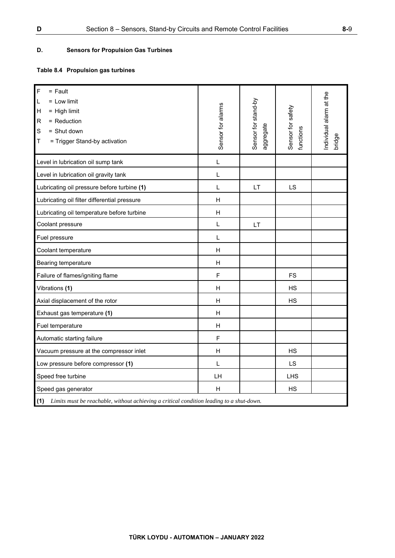# **D. Sensors for Propulsion Gas Turbines**

# **Table 8.4 Propulsion gas turbines**

| $\mathsf F$<br>$=$ Fault<br>$=$ Low limit<br>L<br>$=$ High limit<br>Η<br>= Reduction<br>$\mathsf R$<br>S<br>= Shut down<br>= Trigger Stand-by activation<br>Т | Sensor for alarms | Sensor for stand-by<br>aggregate | Sensor for safety<br>functions | ndividual alarm at the<br>bridge |  |  |
|---------------------------------------------------------------------------------------------------------------------------------------------------------------|-------------------|----------------------------------|--------------------------------|----------------------------------|--|--|
| Level in lubrication oil sump tank                                                                                                                            | L                 |                                  |                                |                                  |  |  |
| Level in lubrication oil gravity tank                                                                                                                         | L                 |                                  |                                |                                  |  |  |
| Lubricating oil pressure before turbine (1)                                                                                                                   | L                 | LT                               | LS                             |                                  |  |  |
| Lubricating oil filter differential pressure                                                                                                                  | H                 |                                  |                                |                                  |  |  |
| Lubricating oil temperature before turbine                                                                                                                    | H                 |                                  |                                |                                  |  |  |
| Coolant pressure                                                                                                                                              | L                 | LT                               |                                |                                  |  |  |
| Fuel pressure                                                                                                                                                 | L                 |                                  |                                |                                  |  |  |
| Coolant temperature                                                                                                                                           | H                 |                                  |                                |                                  |  |  |
| Bearing temperature                                                                                                                                           | H                 |                                  |                                |                                  |  |  |
| Failure of flames/igniting flame                                                                                                                              | F                 |                                  | <b>FS</b>                      |                                  |  |  |
| Vibrations (1)                                                                                                                                                | H                 |                                  | <b>HS</b>                      |                                  |  |  |
| Axial displacement of the rotor                                                                                                                               | H                 |                                  | <b>HS</b>                      |                                  |  |  |
| Exhaust gas temperature (1)                                                                                                                                   | H                 |                                  |                                |                                  |  |  |
| Fuel temperature                                                                                                                                              | H                 |                                  |                                |                                  |  |  |
| Automatic starting failure                                                                                                                                    | $\mathsf F$       |                                  |                                |                                  |  |  |
| Vacuum pressure at the compressor inlet                                                                                                                       | H                 |                                  | <b>HS</b>                      |                                  |  |  |
| Low pressure before compressor (1)                                                                                                                            | L                 |                                  | LS                             |                                  |  |  |
| Speed free turbine                                                                                                                                            | LH                |                                  | <b>LHS</b>                     |                                  |  |  |
| Speed gas generator                                                                                                                                           | н                 |                                  | НS                             |                                  |  |  |
| (1)<br>Limits must be reachable, without achieving a critical condition leading to a shut-down.                                                               |                   |                                  |                                |                                  |  |  |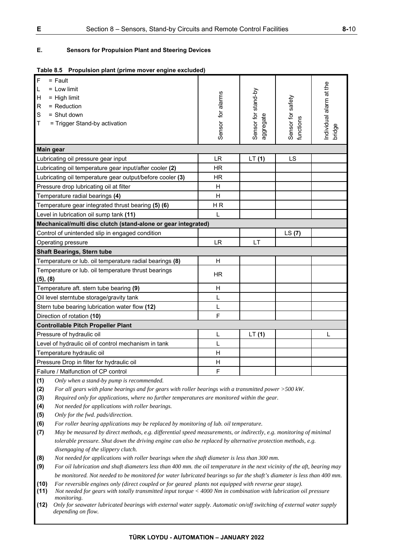# **E. Sensors for Propulsion Plant and Steering Devices**

|  | Table 8.5 Propulsion plant (prime mover engine excluded) |
|--|----------------------------------------------------------|
|  |                                                          |

| $\overline{F}$<br>$=$ Fault                         |                                                               |                   |                                  |                                |                                   |
|-----------------------------------------------------|---------------------------------------------------------------|-------------------|----------------------------------|--------------------------------|-----------------------------------|
| $\mathsf L$<br>$=$ Low limit                        |                                                               |                   |                                  |                                |                                   |
| $\mathsf{H}$<br>$=$ High limit                      |                                                               |                   |                                  |                                |                                   |
| $\mathsf{R}$<br>= Reduction                         |                                                               |                   |                                  |                                |                                   |
| $\mathbb S$<br>$=$ Shut down                        |                                                               |                   |                                  |                                |                                   |
| $\mathsf T$<br>= Trigger Stand-by activation        |                                                               |                   |                                  |                                |                                   |
|                                                     |                                                               | Sensor for alarms | Sensor for stand-by<br>aggregate | Sensor for safety<br>functions | Individual alarm at the<br>bridge |
|                                                     |                                                               |                   |                                  |                                |                                   |
| <b>Main gear</b>                                    |                                                               |                   |                                  |                                |                                   |
| Lubricating oil pressure gear input                 |                                                               | <b>LR</b>         | LT(1)                            | LS                             |                                   |
|                                                     | Lubricating oil temperature gear input/after cooler (2)       | <b>HR</b>         |                                  |                                |                                   |
|                                                     | Lubricating oil temperature gear output/before cooler (3)     | <b>HR</b>         |                                  |                                |                                   |
| Pressure drop lubricating oil at filter             |                                                               | H                 |                                  |                                |                                   |
| Temperature radial bearings (4)                     |                                                               | H                 |                                  |                                |                                   |
| Temperature gear integrated thrust bearing (5) (6)  |                                                               | H <sub>R</sub>    |                                  |                                |                                   |
| Level in lubrication oil sump tank (11)             |                                                               | L                 |                                  |                                |                                   |
|                                                     | Mechanical/multi disc clutch (stand-alone or gear integrated) |                   |                                  |                                |                                   |
| Control of unintended slip in engaged condition     |                                                               |                   |                                  | LS(7)                          |                                   |
| Operating pressure                                  |                                                               | <b>LR</b>         | LT                               |                                |                                   |
| <b>Shaft Bearings, Stern tube</b>                   |                                                               |                   |                                  |                                |                                   |
|                                                     | Temperature or lub. oil temperature radial bearings (8)       | H                 |                                  |                                |                                   |
| Temperature or lub. oil temperature thrust bearings |                                                               | <b>HR</b>         |                                  |                                |                                   |
| (5), (8)                                            |                                                               |                   |                                  |                                |                                   |
| Temperature aft. stern tube bearing (9)             |                                                               | H                 |                                  |                                |                                   |
| Oil level sterntube storage/gravity tank            |                                                               | L                 |                                  |                                |                                   |
| Stern tube bearing lubrication water flow (12)      |                                                               | L                 |                                  |                                |                                   |
| Direction of rotation (10)                          |                                                               | F                 |                                  |                                |                                   |
| <b>Controllable Pitch Propeller Plant</b>           |                                                               |                   |                                  |                                |                                   |
| Pressure of hydraulic oil                           |                                                               | L                 | LT(1)                            |                                | L                                 |
| Level of hydraulic oil of control mechanism in tank |                                                               | L                 |                                  |                                |                                   |
| Temperature hydraulic oil                           |                                                               | H                 |                                  |                                |                                   |
| Pressure Drop in filter for hydraulic oil           |                                                               | $\mathsf{H}$      |                                  |                                |                                   |
| Failure / Malfunction of CP control                 |                                                               | F                 |                                  |                                |                                   |

**(1)** *Only when a stand-by pump is recommended.* 

**(2)** *For all gears with plane bearings and for gears with roller bearings with a transmitted power >500 kW.* 

**(3)** *Required only for applications, where no further temperatures are monitored within the gear.* 

**(4)** *Not needed for applications with roller bearings.* 

**(5)** *Only for the fwd. pads/direction.* 

**(6)** *For roller bearing applications may be replaced by monitoring of lub. oil temperature.* 

**(7)** *May be measured by direct methods, e.g. differential speed measurements, or indirectly, e.g. monitoring of minimal tolerable pressure. Shut down the driving engine can also be replaced by alternative protection methods, e.g. disengaging of the slippery clutch.* 

**(8)** *Not needed for applications with roller bearings when the shaft diameter is less than 300 mm.* 

**(9)** *For oil lubrication and shaft diameters less than 400 mm. the oil temperature in the next vicinity of the aft, bearing may be monitored. Not needed to be monitored for water lubricated bearings so far the shaft's diameter is less than 400 mm.* 

**(10)** *For reversible engines only (direct coupled or for geared plants not equipped with reverse gear stage).* 

**(11)** *Not needed for gears with totally transmitted input torque < 4000 Nm in combination with lubrication oil pressure monitoring.* 

**(12)** *Only for seawater lubricated bearings with external water supply. Automatic on/off switching of external water supply depending on flow.*

**TÜRK LOYDU - AUTOMATION – JANUARY 2022**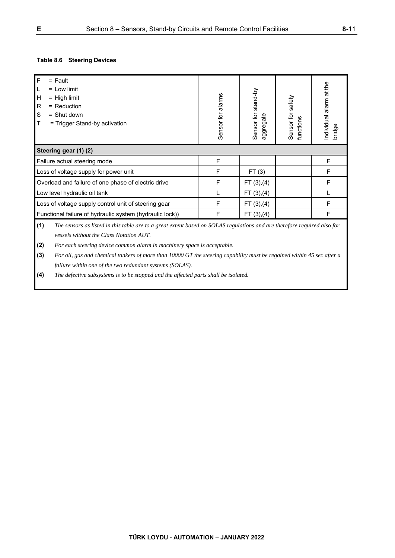# **Table 8.6 Steering Devices**

| $\overline{F}$<br>$=$ Fault<br>L<br>$=$ Low limit<br>H<br>$=$ High limit<br>R<br>$=$ Reduction<br>S<br>$=$ Shut down<br>$\mathsf T$<br>= Trigger Stand-by activation                                                                                         | Sensor for alarms | Sensor for stand-by<br>ggregate<br>$\bar{\sigma}$ | Sensor for safety<br>functions | Individual alarm at the<br>bridge |  |
|--------------------------------------------------------------------------------------------------------------------------------------------------------------------------------------------------------------------------------------------------------------|-------------------|---------------------------------------------------|--------------------------------|-----------------------------------|--|
| Steering gear (1) (2)                                                                                                                                                                                                                                        |                   |                                                   |                                |                                   |  |
| Failure actual steering mode                                                                                                                                                                                                                                 | F                 |                                                   |                                | F                                 |  |
| Loss of voltage supply for power unit                                                                                                                                                                                                                        | F                 | FT(3)                                             |                                | F                                 |  |
| Overload and failure of one phase of electric drive                                                                                                                                                                                                          | F                 | FT(3), (4)                                        |                                | F                                 |  |
| Low level hydraulic oil tank                                                                                                                                                                                                                                 |                   | FT(3), (4)                                        |                                |                                   |  |
| Loss of voltage supply control unit of steering gear                                                                                                                                                                                                         | F                 | FT(3), (4)                                        |                                | F                                 |  |
| Functional failure of hydraulic system (hydraulic lock))                                                                                                                                                                                                     | F                 | FT(3), (4)                                        |                                | F                                 |  |
| (1)<br>The sensors as listed in this table are to a great extent based on SOLAS regulations and are therefore required also for<br>vessels without the Class Notation AUT.<br>(2)<br>For each steering device common alarm in machinery space is acceptable. |                   |                                                   |                                |                                   |  |

**(3)** *For oil, gas and chemical tankers of more than 10000 GT the steering capability must be regained within 45 sec after a failure within one of the two redundant systems (SOLAS).* 

**(4)** *The defective subsystems is to be stopped and the affected parts shall be isolated.*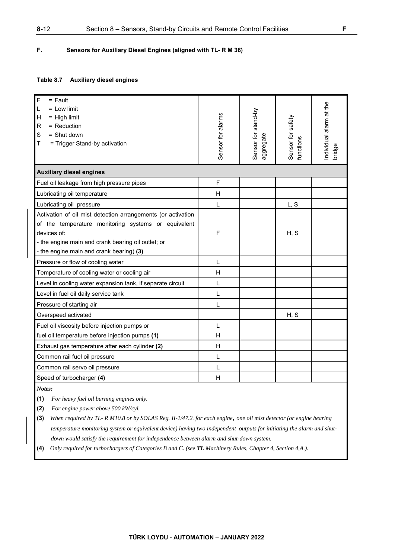# **F. Sensors for Auxiliary Diesel Engines (aligned with TL- R M 36)**

# **Table 8.7 Auxiliary diesel engines**

| F<br>$=$ Fault<br>L<br>$=$ Low limit<br>$=$ High limit<br>H<br>= Reduction<br>$\mathsf{R}$<br>S<br>$=$ Shut down<br>= Trigger Stand-by activation<br>T                                                                               | Sensor for alarms | Sensor for stand-by<br>aggregate | Sensor for safety<br>functions | ndividual alarm at the<br>bridge |  |
|--------------------------------------------------------------------------------------------------------------------------------------------------------------------------------------------------------------------------------------|-------------------|----------------------------------|--------------------------------|----------------------------------|--|
| <b>Auxiliary diesel engines</b>                                                                                                                                                                                                      |                   |                                  |                                |                                  |  |
| Fuel oil leakage from high pressure pipes                                                                                                                                                                                            | F                 |                                  |                                |                                  |  |
| Lubricating oil temperature                                                                                                                                                                                                          | Н                 |                                  |                                |                                  |  |
| Lubricating oil pressure                                                                                                                                                                                                             | L                 |                                  | L, S                           |                                  |  |
| Activation of oil mist detection arrangements (or activation<br>of the temperature monitoring systems or equivalent<br>devices of:<br>- the engine main and crank bearing oil outlet; or<br>- the engine main and crank bearing) (3) | F                 |                                  | H, S                           |                                  |  |
| Pressure or flow of cooling water                                                                                                                                                                                                    | L                 |                                  |                                |                                  |  |
| Temperature of cooling water or cooling air                                                                                                                                                                                          | H                 |                                  |                                |                                  |  |
| Level in cooling water expansion tank, if separate circuit                                                                                                                                                                           | L                 |                                  |                                |                                  |  |
| Level in fuel oil daily service tank                                                                                                                                                                                                 | L                 |                                  |                                |                                  |  |
| Pressure of starting air                                                                                                                                                                                                             | L                 |                                  |                                |                                  |  |
| Overspeed activated                                                                                                                                                                                                                  |                   |                                  | H, S                           |                                  |  |
| Fuel oil viscosity before injection pumps or                                                                                                                                                                                         | L                 |                                  |                                |                                  |  |
| fuel oil temperature before injection pumps (1)                                                                                                                                                                                      | Н                 |                                  |                                |                                  |  |
| Exhaust gas temperature after each cylinder (2)                                                                                                                                                                                      | H                 |                                  |                                |                                  |  |
| Common rail fuel oil pressure                                                                                                                                                                                                        | L                 |                                  |                                |                                  |  |
| Common rail servo oil pressure                                                                                                                                                                                                       | L                 |                                  |                                |                                  |  |
| Speed of turbocharger (4)                                                                                                                                                                                                            | Η                 |                                  |                                |                                  |  |

*Notes:* 

**(1)** *For heavy fuel oil burning engines only.* 

**(2)** *For engine power above 500 kW/cyl.* 

- **(3)** *When required by TL- R M10.8 or by SOLAS Reg. II-1/47.2. for each engine, one oil mist detector (or engine bearing temperature monitoring system or equivalent device) having two independent outputs for initiating the alarm and shut down would satisfy the requirement for independence between alarm and shut-down system.*
- **(4)** *Only required for turbochargers of Categories B and C. (see TL Machinery Rules, Chapter 4, Section 4,A.).*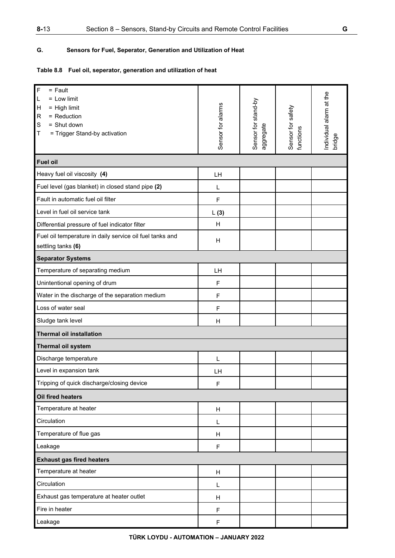# **8-**13 Section 8 – Sensors, Stand-by Circuits and Remote Control Facilities **G**

# **G. Sensors for Fuel, Seperator, Generation and Utilization of Heat**

# **Table 8.8 Fuel oil, seperator, generation and utilization of heat**

| $\overline{F}$<br>$=$ Fault<br>$=$ Low limit<br>L<br>$=$ High limit<br>H<br>$\mathsf R$<br>= Reduction<br>S<br>= Shut down<br>T<br>= Trigger Stand-by activation | Sensor for alarms | Sensor for stand-by<br>aggregate | Sensor for safety<br>functions | Individual alarm at the<br>bridge |  |
|------------------------------------------------------------------------------------------------------------------------------------------------------------------|-------------------|----------------------------------|--------------------------------|-----------------------------------|--|
| <b>Fuel oil</b>                                                                                                                                                  |                   |                                  |                                |                                   |  |
| Heavy fuel oil viscosity (4)                                                                                                                                     | LH                |                                  |                                |                                   |  |
| Fuel level (gas blanket) in closed stand pipe (2)                                                                                                                | L                 |                                  |                                |                                   |  |
| Fault in automatic fuel oil filter                                                                                                                               | F                 |                                  |                                |                                   |  |
| Level in fuel oil service tank                                                                                                                                   | L(3)              |                                  |                                |                                   |  |
| Differential pressure of fuel indicator filter                                                                                                                   | н                 |                                  |                                |                                   |  |
| Fuel oil temperature in daily service oil fuel tanks and<br>settling tanks (6)                                                                                   | H                 |                                  |                                |                                   |  |
| <b>Separator Systems</b>                                                                                                                                         |                   |                                  |                                |                                   |  |
| Temperature of separating medium                                                                                                                                 | LH                |                                  |                                |                                   |  |
| Unintentional opening of drum                                                                                                                                    | F                 |                                  |                                |                                   |  |
| Water in the discharge of the separation medium                                                                                                                  | F                 |                                  |                                |                                   |  |
| Loss of water seal                                                                                                                                               | F                 |                                  |                                |                                   |  |
| Sludge tank level                                                                                                                                                | H                 |                                  |                                |                                   |  |
| <b>Thermal oil installation</b>                                                                                                                                  |                   |                                  |                                |                                   |  |
| Thermal oil system                                                                                                                                               |                   |                                  |                                |                                   |  |
| Discharge temperature                                                                                                                                            | L                 |                                  |                                |                                   |  |
| Level in expansion tank                                                                                                                                          | LH                |                                  |                                |                                   |  |
| Tripping of quick discharge/closing device                                                                                                                       | F                 |                                  |                                |                                   |  |
| Oil fired heaters                                                                                                                                                |                   |                                  |                                |                                   |  |
| Temperature at heater                                                                                                                                            | H                 |                                  |                                |                                   |  |
| Circulation                                                                                                                                                      | L                 |                                  |                                |                                   |  |
| Temperature of flue gas                                                                                                                                          | H                 |                                  |                                |                                   |  |
| Leakage                                                                                                                                                          | F                 |                                  |                                |                                   |  |
| <b>Exhaust gas fired heaters</b>                                                                                                                                 |                   |                                  |                                |                                   |  |
| Temperature at heater                                                                                                                                            | H                 |                                  |                                |                                   |  |
| Circulation                                                                                                                                                      | L                 |                                  |                                |                                   |  |
| Exhaust gas temperature at heater outlet                                                                                                                         | H                 |                                  |                                |                                   |  |
| Fire in heater                                                                                                                                                   | F                 |                                  |                                |                                   |  |
| Leakage                                                                                                                                                          | $\mathsf F$       |                                  |                                |                                   |  |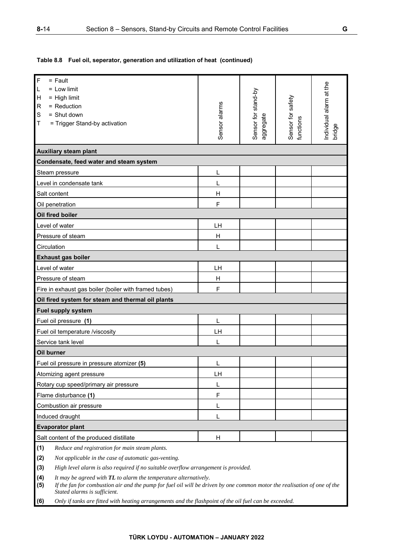**Table 8.8 Fuel oil, seperator, generation and utilization of heat (continued)** 

| F<br>$=$ Fault                                                                                                                                                  |               |                                  |                                |                        |  |
|-----------------------------------------------------------------------------------------------------------------------------------------------------------------|---------------|----------------------------------|--------------------------------|------------------------|--|
| $=$ Low limit<br>L                                                                                                                                              |               |                                  |                                |                        |  |
| $=$ High limit<br>н                                                                                                                                             |               |                                  |                                |                        |  |
| = Reduction<br>R                                                                                                                                                |               |                                  |                                |                        |  |
| $=$ Shut down<br>S                                                                                                                                              |               |                                  |                                |                        |  |
| = Trigger Stand-by activation<br>Т                                                                                                                              | Sensor alarms | Sensor for stand-by<br>aggregate | Sensor for safety<br>functions | ndividual alarm at the |  |
|                                                                                                                                                                 |               |                                  |                                | bridge                 |  |
| <b>Auxiliary steam plant</b>                                                                                                                                    |               |                                  |                                |                        |  |
| Condensate, feed water and steam system                                                                                                                         |               |                                  |                                |                        |  |
| Steam pressure                                                                                                                                                  | L             |                                  |                                |                        |  |
| Level in condensate tank                                                                                                                                        | L             |                                  |                                |                        |  |
| Salt content                                                                                                                                                    | H             |                                  |                                |                        |  |
| Oil penetration                                                                                                                                                 | F             |                                  |                                |                        |  |
| Oil fired boiler                                                                                                                                                |               |                                  |                                |                        |  |
| Level of water                                                                                                                                                  | LH            |                                  |                                |                        |  |
| Pressure of steam                                                                                                                                               | Н             |                                  |                                |                        |  |
| Circulation                                                                                                                                                     | L             |                                  |                                |                        |  |
| <b>Exhaust gas boiler</b>                                                                                                                                       |               |                                  |                                |                        |  |
| Level of water                                                                                                                                                  | LH            |                                  |                                |                        |  |
| Pressure of steam                                                                                                                                               | H             |                                  |                                |                        |  |
| Fire in exhaust gas boiler (boiler with framed tubes)                                                                                                           | F             |                                  |                                |                        |  |
| Oil fired system for steam and thermal oil plants                                                                                                               |               |                                  |                                |                        |  |
| <b>Fuel supply system</b>                                                                                                                                       |               |                                  |                                |                        |  |
| Fuel oil pressure (1)                                                                                                                                           | L             |                                  |                                |                        |  |
| Fuel oil temperature /viscosity                                                                                                                                 | LH            |                                  |                                |                        |  |
| Service tank level                                                                                                                                              | L             |                                  |                                |                        |  |
| Oil burner                                                                                                                                                      |               |                                  |                                |                        |  |
| Fuel oil pressure in pressure atomizer (5)                                                                                                                      | L             |                                  |                                |                        |  |
| Atomizing agent pressure                                                                                                                                        | LH            |                                  |                                |                        |  |
| Rotary cup speed/primary air pressure                                                                                                                           | L             |                                  |                                |                        |  |
| Flame disturbance (1)                                                                                                                                           | $\mathsf F$   |                                  |                                |                        |  |
| Combustion air pressure                                                                                                                                         | L             |                                  |                                |                        |  |
| Induced draught                                                                                                                                                 | L             |                                  |                                |                        |  |
| <b>Evaporator plant</b>                                                                                                                                         |               |                                  |                                |                        |  |
| Salt content of the produced distillate                                                                                                                         | H             |                                  |                                |                        |  |
| (1)<br>Reduce and registration for main steam plants.                                                                                                           |               |                                  |                                |                        |  |
| (2)<br>Not applicable in the case of automatic gas-venting.                                                                                                     |               |                                  |                                |                        |  |
| (3)<br>High level alarm is also required if no suitable overflow arrangement is provided.                                                                       |               |                                  |                                |                        |  |
| (4)<br>It may be agreed with TL to alarm the temperature alternatively.                                                                                         |               |                                  |                                |                        |  |
| If the fan for combustion air and the pump for fuel oil will be driven by one common motor the realisation of one of the<br>(5)<br>Stated alarms is sufficient. |               |                                  |                                |                        |  |
| (6)<br>Only if tanks are fitted with heating arrangements and the flashpoint of the oil fuel can be exceeded.                                                   |               |                                  |                                |                        |  |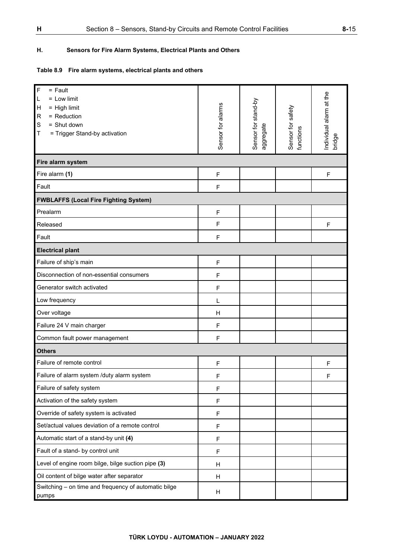# **H. Sensors for Fire Alarm Systems, Electrical Plants and Others**

# **Table 8.9 Fire alarm systems, electrical plants and others**

| $\mathsf F$<br>$=$ Fault<br>$=$ Low limit<br>L<br>$=$ High limit<br>$\mathsf{H}$<br>= Reduction<br>$\mathsf{R}$<br>S<br>= Shut down<br>Т<br>= Trigger Stand-by activation | Sensor for alarms | Sensor for stand-by<br>aggregate | Sensor for safety<br>functions | Individual alarm at the<br>bridge |
|---------------------------------------------------------------------------------------------------------------------------------------------------------------------------|-------------------|----------------------------------|--------------------------------|-----------------------------------|
| Fire alarm system                                                                                                                                                         |                   |                                  |                                |                                   |
| Fire alarm (1)                                                                                                                                                            | $\mathsf F$       |                                  |                                | $\mathsf F$                       |
| Fault                                                                                                                                                                     | F                 |                                  |                                |                                   |
| <b>FWBLAFFS (Local Fire Fighting System)</b>                                                                                                                              |                   |                                  |                                |                                   |
| Prealarm                                                                                                                                                                  | $\mathsf F$       |                                  |                                |                                   |
| Released                                                                                                                                                                  | F                 |                                  |                                | F                                 |
| Fault                                                                                                                                                                     | F                 |                                  |                                |                                   |
| <b>Electrical plant</b>                                                                                                                                                   |                   |                                  |                                |                                   |
| Failure of ship's main                                                                                                                                                    | F                 |                                  |                                |                                   |
| Disconnection of non-essential consumers                                                                                                                                  | F                 |                                  |                                |                                   |
| Generator switch activated                                                                                                                                                | $\overline{F}$    |                                  |                                |                                   |
| Low frequency                                                                                                                                                             | L                 |                                  |                                |                                   |
| Over voltage                                                                                                                                                              | н                 |                                  |                                |                                   |
| Failure 24 V main charger                                                                                                                                                 | $\mathsf F$       |                                  |                                |                                   |
| Common fault power management                                                                                                                                             | F                 |                                  |                                |                                   |
| <b>Others</b>                                                                                                                                                             |                   |                                  |                                |                                   |
| Failure of remote control                                                                                                                                                 | $\mathsf F$       |                                  |                                | F                                 |
| Failure of alarm system /duty alarm system                                                                                                                                | F                 |                                  |                                | F                                 |
| Failure of safety system                                                                                                                                                  | $\mathsf F$       |                                  |                                |                                   |
| Activation of the safety system                                                                                                                                           | F                 |                                  |                                |                                   |
| Override of safety system is activated                                                                                                                                    | F                 |                                  |                                |                                   |
| Set/actual values deviation of a remote control                                                                                                                           | F                 |                                  |                                |                                   |
| Automatic start of a stand-by unit (4)                                                                                                                                    | F                 |                                  |                                |                                   |
| Fault of a stand- by control unit                                                                                                                                         | $\mathsf F$       |                                  |                                |                                   |
| Level of engine room bilge, bilge suction pipe (3)                                                                                                                        | н                 |                                  |                                |                                   |
| Oil content of bilge water after separator                                                                                                                                | н                 |                                  |                                |                                   |
| Switching - on time and frequency of automatic bilge<br>pumps                                                                                                             | H                 |                                  |                                |                                   |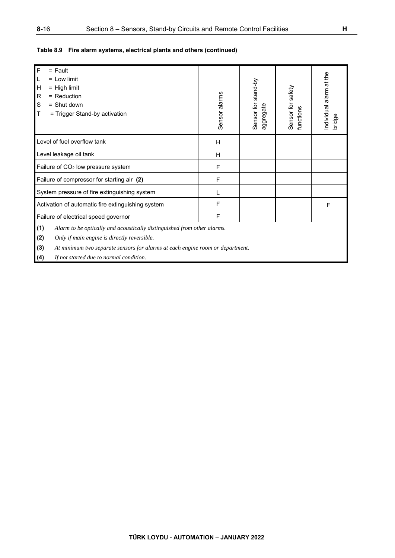# **Table 8.9 Fire alarm systems, electrical plants and others (continued)**

| $\overline{F}$<br>$=$ Fault<br>$=$ Low limit<br>L<br>$\mathsf{H}$<br>$=$ High limit<br>${\sf R}$<br>$=$ Reduction<br>S<br>$=$ Shut down<br>$\sf T$<br>= Trigger Stand-by activation                                                                                            | Sensor alarms | Sensor for stand-by<br>aggregate | Sensor for safety<br>functions | ndividual alarm at the<br>bridge |
|--------------------------------------------------------------------------------------------------------------------------------------------------------------------------------------------------------------------------------------------------------------------------------|---------------|----------------------------------|--------------------------------|----------------------------------|
| Level of fuel overflow tank                                                                                                                                                                                                                                                    | H             |                                  |                                |                                  |
| Level leakage oil tank                                                                                                                                                                                                                                                         | H             |                                  |                                |                                  |
| Failure of CO <sub>2</sub> low pressure system                                                                                                                                                                                                                                 | F             |                                  |                                |                                  |
| Failure of compressor for starting air (2)                                                                                                                                                                                                                                     | F             |                                  |                                |                                  |
| System pressure of fire extinguishing system                                                                                                                                                                                                                                   |               |                                  |                                |                                  |
| Activation of automatic fire extinguishing system                                                                                                                                                                                                                              | F             |                                  |                                | F                                |
| Failure of electrical speed governor                                                                                                                                                                                                                                           | F             |                                  |                                |                                  |
| (1)<br>Alarm to be optically and acoustically distinguished from other alarms.<br>(2)<br>Only if main engine is directly reversible.<br>(3)<br>At minimum two separate sensors for alarms at each engine room or department.<br>(4)<br>If not started due to normal condition. |               |                                  |                                |                                  |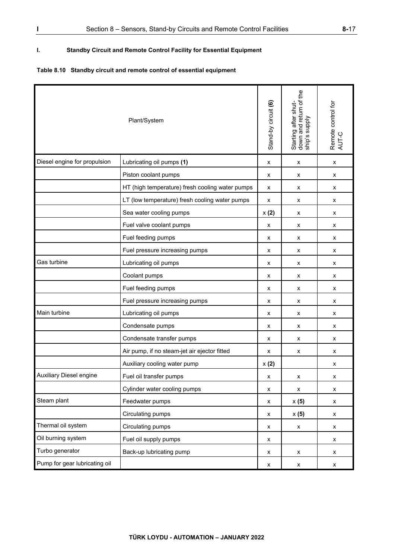# **I. Standby Circuit and Remote Control Facility for Essential Equipment**

# **Table 8.10 Standby circuit and remote control of essential equipment**

| Plant/System                   |                                                 | Stand-by circuit (6) | Starting after shut-<br>down and return of the<br>ship's supply | Remote control for<br>AUT-C |
|--------------------------------|-------------------------------------------------|----------------------|-----------------------------------------------------------------|-----------------------------|
| Diesel engine for propulsion   | Lubricating oil pumps (1)                       | x                    | x                                                               | x                           |
|                                | Piston coolant pumps                            | х                    | x                                                               | x                           |
|                                | HT (high temperature) fresh cooling water pumps | x                    | х                                                               | x                           |
|                                | LT (low temperature) fresh cooling water pumps  | x                    | x                                                               | x                           |
|                                | Sea water cooling pumps                         | x(2)                 | x                                                               | x                           |
|                                | Fuel valve coolant pumps                        | x                    | x                                                               | x                           |
|                                | Fuel feeding pumps                              | X                    | X                                                               | x                           |
|                                | Fuel pressure increasing pumps                  | х                    | x                                                               | x                           |
| Gas turbine                    | Lubricating oil pumps                           | х                    | х                                                               | x                           |
|                                | Coolant pumps                                   | x                    | x                                                               | x                           |
|                                | Fuel feeding pumps                              | x                    | X                                                               | x                           |
|                                | Fuel pressure increasing pumps                  | X                    | X                                                               | x                           |
| Main turbine                   | Lubricating oil pumps                           | x                    | x                                                               | x                           |
|                                | Condensate pumps                                | х                    | x                                                               | х                           |
|                                | Condensate transfer pumps                       | х                    | х                                                               | x                           |
|                                | Air pump, if no steam-jet air ejector fitted    | x                    | x                                                               | x                           |
|                                | Auxiliary cooling water pump                    | x(2)                 |                                                                 | x                           |
| <b>Auxiliary Diesel engine</b> | Fuel oil transfer pumps                         | X                    | X                                                               | x                           |
|                                | Cylinder water cooling pumps                    | X                    | $\pmb{\mathsf{x}}$                                              | x                           |
| Steam plant                    | Feedwater pumps                                 | X                    | x(5)                                                            | x                           |
|                                | Circulating pumps                               | X                    | x(5)                                                            | x                           |
| Thermal oil system             | Circulating pumps                               | X                    | X                                                               | x                           |
| Oil burning system             | Fuel oil supply pumps                           | X                    |                                                                 | X                           |
| Turbo generator                | Back-up lubricating pump                        | X                    | X                                                               | x                           |
| Pump for gear lubricating oil  |                                                 | X                    | $\pmb{\mathsf{x}}$                                              | X                           |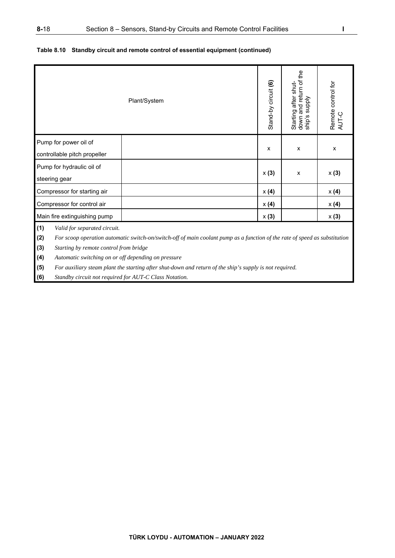|                                                       | Plant/System                                                                                                               | Stand-by circuit (6) | down and return of the<br>Starting after shut-<br><b>Addns</b><br>$\sin^3$ | Remote control for<br>AUT-C |
|-------------------------------------------------------|----------------------------------------------------------------------------------------------------------------------------|----------------------|----------------------------------------------------------------------------|-----------------------------|
| Pump for power oil of<br>controllable pitch propeller |                                                                                                                            | X                    | X                                                                          | X                           |
| Pump for hydraulic oil of                             |                                                                                                                            |                      |                                                                            |                             |
| steering gear                                         |                                                                                                                            | x(3)                 | X                                                                          | x(3)                        |
| Compressor for starting air                           |                                                                                                                            | x(4)                 |                                                                            | x(4)                        |
| Compressor for control air                            |                                                                                                                            | x(4)                 |                                                                            | x(4)                        |
| Main fire extinguishing pump                          |                                                                                                                            | x(3)                 |                                                                            | x(3)                        |
| (1)<br>Valid for separated circuit.<br>(2)            | For scoop operation automatic switch-on/switch-off of main coolant pump as a function of the rate of speed as substitution |                      |                                                                            |                             |

## **Table 8.10 Standby circuit and remote control of essential equipment (continued)**

**(3)** *Starting by remote control from bridge* 

**(4)** *Automatic switching on or off depending on pressure* 

**(5)** *For auxiliary steam plant the starting after shut-down and return of the ship's supply is not required.* 

**(6)** *Standby circuit not required for AUT-C Class Notation.*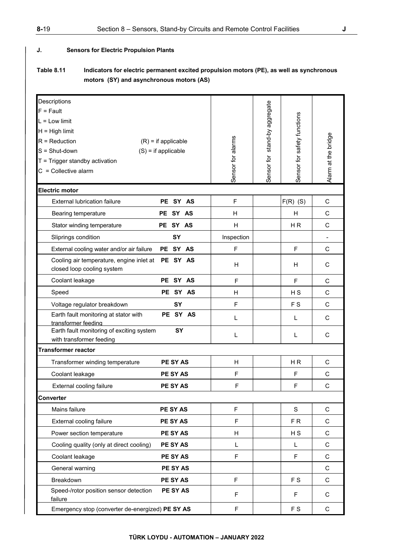### **J. Sensors for Electric Propulsion Plants**

# **Table 8.11 Indicators for electric permanent excited propulsion motors (PE), as well as synchronous motors (SY) and asynchronous motors (AS)**

| Descriptions                                                                                              |                   |                               |                             |                          |
|-----------------------------------------------------------------------------------------------------------|-------------------|-------------------------------|-----------------------------|--------------------------|
| $F = Fault$                                                                                               |                   |                               |                             |                          |
| $L = Low limit$                                                                                           |                   |                               |                             |                          |
| $H = High limit$                                                                                          |                   |                               |                             |                          |
| $R = \text{Reduction}$<br>$(R)$ = if applicable                                                           |                   |                               |                             |                          |
| $S = Shut-down$<br>$(S)$ = if applicable                                                                  |                   |                               |                             |                          |
| $T = Trigger$ standby activation                                                                          |                   |                               |                             |                          |
| $C =$ Collective alarm                                                                                    | Sensor for alarms | Sensor for stand-by aggregate | Sensor for safety functions | Alarm at the bridge      |
| <b>Electric motor</b>                                                                                     |                   |                               |                             |                          |
| <b>External lubrication failure</b><br><b>PE</b><br>SY AS                                                 | $\mathsf F$       |                               | $F(R)$ (S)                  | C                        |
| SY AS<br>Bearing temperature<br>PE                                                                        | H                 |                               | H                           | C                        |
| PE SY AS<br>Stator winding temperature                                                                    | H                 |                               | H <sub>R</sub>              | C                        |
| SY<br>Sliprings condition                                                                                 | Inspection        |                               |                             | $\overline{\phantom{a}}$ |
| PE SY AS<br>External cooling water and/or air failure                                                     | F                 |                               | F                           | C                        |
| Cooling air temperature, engine inlet at PE SY AS<br>closed loop cooling system                           | H                 |                               | H.                          | C                        |
| Coolant leakage<br>PE SY AS                                                                               | F                 |                               | F                           | C                        |
| PE SY AS<br>Speed                                                                                         | H                 |                               | H <sub>S</sub>              | $\mathsf{C}$             |
| SY<br>Voltage regulator breakdown                                                                         | $\mathsf F$       |                               | F S                         | C                        |
| PE SY AS<br>Earth fault monitoring at stator with                                                         | L                 |                               | L                           | C                        |
| transformer feeding<br>Earth fault monitoring of exciting system<br><b>SY</b><br>with transformer feeding | L                 |                               | L                           | C                        |
| <b>Transformer reactor</b>                                                                                |                   |                               |                             |                          |
| PE SY AS<br>Transformer winding temperature                                                               | H                 |                               | H <sub>R</sub>              | $\mathsf C$              |
| PE SY AS<br>Coolant leakage                                                                               | F                 |                               | F                           | C                        |
| PE SY AS<br>External cooling failure                                                                      | $\mathsf{F}$      |                               | F                           | $\mathsf{C}$             |
| Converter                                                                                                 |                   |                               |                             |                          |
| Mains failure<br><b>PE SY AS</b>                                                                          | $\mathsf F$       |                               | S                           | $\mathsf C$              |
| External cooling failure<br><b>PE SY AS</b>                                                               | F                 |                               | FR                          | $\mathsf C$              |
| <b>PE SY AS</b><br>Power section temperature                                                              | H                 |                               | H S                         | $\mathsf{C}$             |
| <b>PE SY AS</b><br>Cooling quality (only at direct cooling)                                               | L                 |                               | L.                          | $\mathsf{C}$             |
| PE SY AS<br>Coolant leakage                                                                               | F                 |                               | F                           | C                        |
| PE SY AS<br>General warning                                                                               |                   |                               |                             | C                        |
| Breakdown<br><b>PE SY AS</b>                                                                              | $\mathsf F$       |                               | F S                         | C                        |
| Speed-/rotor position sensor detection<br>PE SY AS<br>failure                                             | F                 |                               | F                           | С                        |
| Emergency stop (converter de-energized) PE SY AS                                                          | F                 |                               | F S                         | $\mathbf C$              |